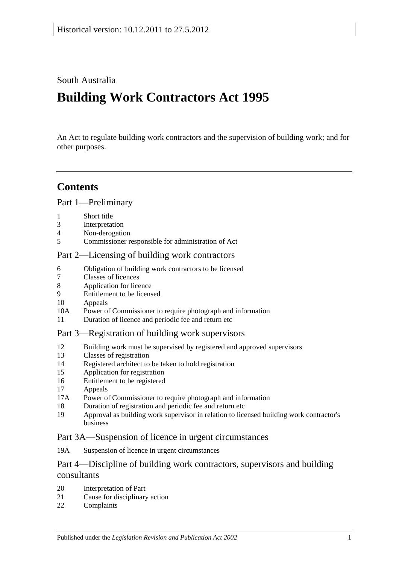## South Australia

# **Building Work Contractors Act 1995**

An Act to regulate building work contractors and the supervision of building work; and for other purposes.

## **Contents**

### [Part 1—Preliminary](#page-2-0)

- 1 [Short title](#page-2-1)
- 3 [Interpretation](#page-2-2)
- 4 [Non-derogation](#page-4-0)
- 5 [Commissioner responsible for administration of Act](#page-4-1)

### [Part 2—Licensing of building work contractors](#page-4-2)

- 6 [Obligation of building work contractors to be licensed](#page-4-3)
- 7 [Classes of licences](#page-5-0)
- 8 [Application for licence](#page-5-1)
- 9 [Entitlement to be licensed](#page-6-0)
- 10 [Appeals](#page-7-0)
- 10A [Power of Commissioner to require photograph and information](#page-8-0)
- 11 [Duration of licence and periodic fee and return etc](#page-8-1)

#### [Part 3—Registration of building work supervisors](#page-9-0)

- 12 [Building work must be supervised by registered and approved supervisors](#page-9-1)
- 13 [Classes of registration](#page-9-2)
- 14 [Registered architect to be taken to hold registration](#page-10-0)
- 15 [Application for registration](#page-10-1)
- 16 [Entitlement to be registered](#page-10-2)
- 17 [Appeals](#page-11-0)
- 17A [Power of Commissioner to require photograph and information](#page-11-1)
- 18 [Duration of registration and periodic fee and return etc](#page-11-2)
- 19 [Approval as building work supervisor in relation to licensed building work contractor's](#page-12-0)  [business](#page-12-0)

#### [Part 3A—Suspension of licence in urgent circumstances](#page-13-0)

19A [Suspension of licence in urgent circumstances](#page-13-1)

### Part 4—Discipline of building work [contractors, supervisors and building](#page-14-0)  [consultants](#page-14-0)

- 20 [Interpretation of Part](#page-14-1)
- 21 [Cause for disciplinary action](#page-15-0)
- 22 [Complaints](#page-16-0)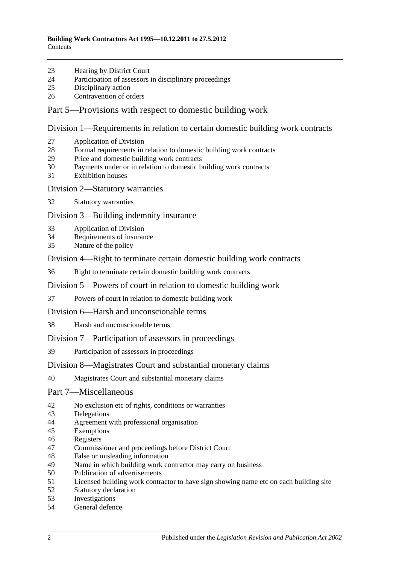- [Hearing by District Court](#page-16-1)
- [Participation of assessors in disciplinary proceedings](#page-16-2)
- [Disciplinary action](#page-16-3)
- [Contravention of orders](#page-17-0)

#### [Part 5—Provisions with respect to domestic building work](#page-17-1)

[Division 1—Requirements in relation to certain domestic building work contracts](#page-17-2)

- [Application of Division](#page-17-3)
- [Formal requirements in relation to domestic building work contracts](#page-18-0)
- [Price and domestic building work contracts](#page-18-1)
- [Payments under or in relation to domestic building work contracts](#page-20-0)
- [Exhibition houses](#page-21-0)
- [Division 2—Statutory warranties](#page-21-1)
- [Statutory warranties](#page-21-2)

[Division 3—Building indemnity insurance](#page-22-0)

- [Application of Division](#page-22-1)
- [Requirements of insurance](#page-23-0)
- [Nature of the policy](#page-23-1)

[Division 4—Right to terminate certain domestic building work contracts](#page-23-2)

[Right to terminate certain domestic building work contracts](#page-23-3)

[Division 5—Powers of court in relation to domestic building work](#page-24-0)

- [Powers of court in relation to domestic building work](#page-24-1)
- [Division 6—Harsh and unconscionable terms](#page-25-0)
- [Harsh and unconscionable terms](#page-25-1)

[Division 7—Participation of assessors in proceedings](#page-26-0)

[Participation of assessors in proceedings](#page-26-1)

#### [Division 8—Magistrates Court and substantial monetary claims](#page-26-2)

[Magistrates Court and substantial monetary claims](#page-26-3)

#### [Part 7—Miscellaneous](#page-27-0)

- [No exclusion etc of rights, conditions or warranties](#page-27-1)
- [Delegations](#page-27-2)
- [Agreement with professional organisation](#page-27-3)
- [Exemptions](#page-28-0)
- [Registers](#page-28-1)
- [Commissioner and proceedings before District Court](#page-29-0)
- [False or misleading information](#page-29-1)
- [Name in which building work contractor may carry on business](#page-29-2)<br>50 Publication of advertisements
- [Publication of advertisements](#page-29-3)
- [Licensed building work contractor to have sign showing name etc on each building site](#page-30-0)
- [Statutory declaration](#page-30-1)
- [Investigations](#page-30-2)
- [General defence](#page-30-3)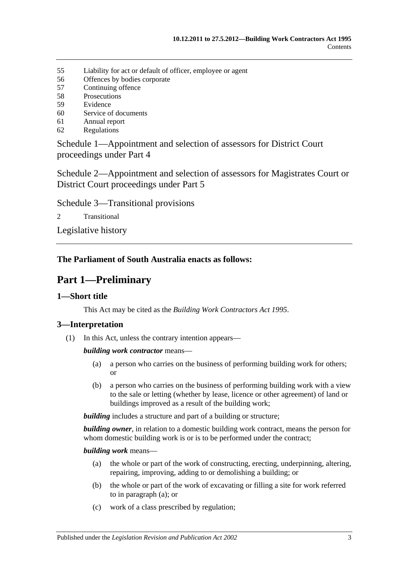- 55 [Liability for act or default of officer, employee or agent](#page-30-4)
- 56 [Offences by bodies corporate](#page-31-0)
- 57 [Continuing offence](#page-31-1)
- 58 [Prosecutions](#page-31-2)
- 59 [Evidence](#page-31-3)
- 60 [Service of documents](#page-32-0)
- 61 [Annual report](#page-32-1)
- 62 [Regulations](#page-33-0)

[Schedule 1—Appointment and selection of assessors for District Court](#page-33-1)  [proceedings under Part 4](#page-33-1)

[Schedule 2—Appointment and selection of assessors for Magistrates Court or](#page-34-0)  [District Court proceedings under Part](#page-34-0) 5

[Schedule 3—Transitional provisions](#page-35-0)

2 [Transitional](#page-35-1)

[Legislative history](#page-36-0)

### <span id="page-2-0"></span>**The Parliament of South Australia enacts as follows:**

## **Part 1—Preliminary**

## <span id="page-2-1"></span>**1—Short title**

This Act may be cited as the *Building Work Contractors Act 1995*.

## <span id="page-2-2"></span>**3—Interpretation**

(1) In this Act, unless the contrary intention appears—

#### *building work contractor* means—

- (a) a person who carries on the business of performing building work for others; or
- (b) a person who carries on the business of performing building work with a view to the sale or letting (whether by lease, licence or other agreement) of land or buildings improved as a result of the building work;

**building** includes a structure and part of a building or structure;

*building owner*, in relation to a domestic building work contract, means the person for whom domestic building work is or is to be performed under the contract;

<span id="page-2-3"></span>*building work* means—

- (a) the whole or part of the work of constructing, erecting, underpinning, altering, repairing, improving, adding to or demolishing a building; or
- (b) the whole or part of the work of excavating or filling a site for work referred to in [paragraph](#page-2-3) (a); or
- (c) work of a class prescribed by regulation;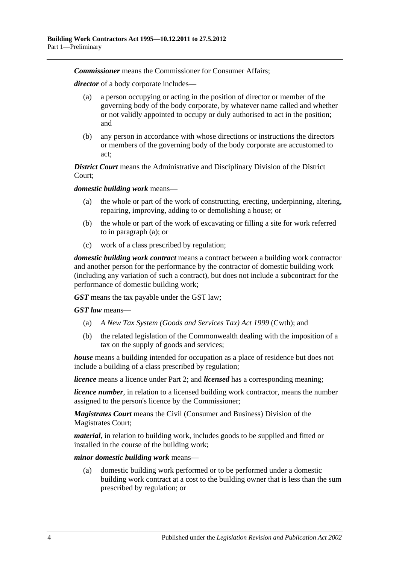*Commissioner* means the Commissioner for Consumer Affairs;

*director* of a body corporate includes—

- (a) a person occupying or acting in the position of director or member of the governing body of the body corporate, by whatever name called and whether or not validly appointed to occupy or duly authorised to act in the position; and
- (b) any person in accordance with whose directions or instructions the directors or members of the governing body of the body corporate are accustomed to act;

*District Court* means the Administrative and Disciplinary Division of the District Court;

<span id="page-3-0"></span>*domestic building work* means—

- (a) the whole or part of the work of constructing, erecting, underpinning, altering, repairing, improving, adding to or demolishing a house; or
- (b) the whole or part of the work of excavating or filling a site for work referred to in [paragraph](#page-3-0) (a); or
- (c) work of a class prescribed by regulation;

*domestic building work contract* means a contract between a building work contractor and another person for the performance by the contractor of domestic building work (including any variation of such a contract), but does not include a subcontract for the performance of domestic building work;

*GST* means the tax payable under the GST law;

*GST law* means—

- (a) *A New Tax System (Goods and Services Tax) Act 1999* (Cwth); and
- (b) the related legislation of the Commonwealth dealing with the imposition of a tax on the supply of goods and services;

*house* means a building intended for occupation as a place of residence but does not include a building of a class prescribed by regulation;

*licence* means a licence under [Part 2;](#page-4-2) and *licensed* has a corresponding meaning;

*licence number*, in relation to a licensed building work contractor, means the number assigned to the person's licence by the Commissioner;

*Magistrates Court* means the Civil (Consumer and Business) Division of the Magistrates Court;

*material*, in relation to building work, includes goods to be supplied and fitted or installed in the course of the building work;

*minor domestic building work* means—

(a) domestic building work performed or to be performed under a domestic building work contract at a cost to the building owner that is less than the sum prescribed by regulation; or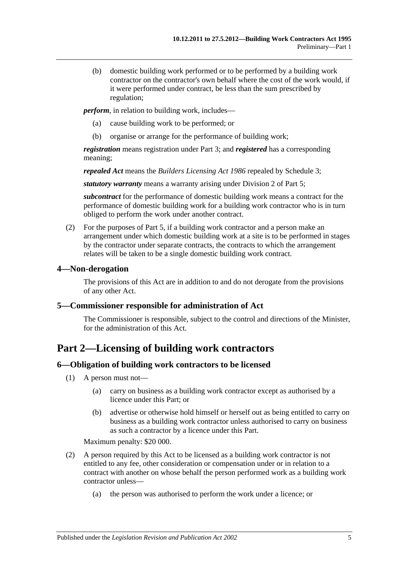(b) domestic building work performed or to be performed by a building work contractor on the contractor's own behalf where the cost of the work would, if it were performed under contract, be less than the sum prescribed by regulation;

*perform*, in relation to building work, includes—

- (a) cause building work to be performed; or
- (b) organise or arrange for the performance of building work;

*registration* means registration under [Part 3;](#page-9-0) and *registered* has a corresponding meaning;

*repealed Act* means the *[Builders Licensing Act](http://www.legislation.sa.gov.au/index.aspx?action=legref&type=act&legtitle=Builders%20Licensing%20Act%201986) 1986* repealed by [Schedule 3;](#page-35-0)

*statutory warranty* means a warranty arising under [Division 2](#page-21-1) of [Part 5;](#page-17-1)

*subcontract* for the performance of domestic building work means a contract for the performance of domestic building work for a building work contractor who is in turn obliged to perform the work under another contract.

(2) For the purposes of [Part 5,](#page-17-1) if a building work contractor and a person make an arrangement under which domestic building work at a site is to be performed in stages by the contractor under separate contracts, the contracts to which the arrangement relates will be taken to be a single domestic building work contract.

#### <span id="page-4-0"></span>**4—Non-derogation**

The provisions of this Act are in addition to and do not derogate from the provisions of any other Act.

#### <span id="page-4-1"></span>**5—Commissioner responsible for administration of Act**

The Commissioner is responsible, subject to the control and directions of the Minister, for the administration of this Act.

## <span id="page-4-2"></span>**Part 2—Licensing of building work contractors**

#### <span id="page-4-3"></span>**6—Obligation of building work contractors to be licensed**

- (1) A person must not—
	- (a) carry on business as a building work contractor except as authorised by a licence under this Part; or
	- (b) advertise or otherwise hold himself or herself out as being entitled to carry on business as a building work contractor unless authorised to carry on business as such a contractor by a licence under this Part.

Maximum penalty: \$20 000.

- (2) A person required by this Act to be licensed as a building work contractor is not entitled to any fee, other consideration or compensation under or in relation to a contract with another on whose behalf the person performed work as a building work contractor unless—
	- (a) the person was authorised to perform the work under a licence; or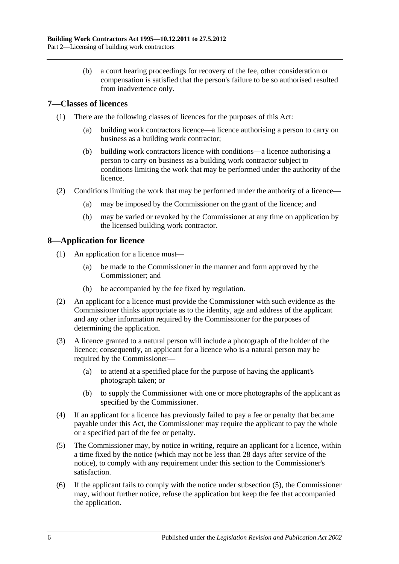(b) a court hearing proceedings for recovery of the fee, other consideration or compensation is satisfied that the person's failure to be so authorised resulted from inadvertence only.

### <span id="page-5-0"></span>**7—Classes of licences**

- (1) There are the following classes of licences for the purposes of this Act:
	- (a) building work contractors licence—a licence authorising a person to carry on business as a building work contractor;
	- (b) building work contractors licence with conditions—a licence authorising a person to carry on business as a building work contractor subject to conditions limiting the work that may be performed under the authority of the licence.
- (2) Conditions limiting the work that may be performed under the authority of a licence—
	- (a) may be imposed by the Commissioner on the grant of the licence; and
	- (b) may be varied or revoked by the Commissioner at any time on application by the licensed building work contractor.

### <span id="page-5-1"></span>**8—Application for licence**

- (1) An application for a licence must—
	- (a) be made to the Commissioner in the manner and form approved by the Commissioner; and
	- (b) be accompanied by the fee fixed by regulation.
- (2) An applicant for a licence must provide the Commissioner with such evidence as the Commissioner thinks appropriate as to the identity, age and address of the applicant and any other information required by the Commissioner for the purposes of determining the application.
- (3) A licence granted to a natural person will include a photograph of the holder of the licence; consequently, an applicant for a licence who is a natural person may be required by the Commissioner—
	- (a) to attend at a specified place for the purpose of having the applicant's photograph taken; or
	- (b) to supply the Commissioner with one or more photographs of the applicant as specified by the Commissioner.
- (4) If an applicant for a licence has previously failed to pay a fee or penalty that became payable under this Act, the Commissioner may require the applicant to pay the whole or a specified part of the fee or penalty.
- <span id="page-5-2"></span>(5) The Commissioner may, by notice in writing, require an applicant for a licence, within a time fixed by the notice (which may not be less than 28 days after service of the notice), to comply with any requirement under this section to the Commissioner's satisfaction.
- (6) If the applicant fails to comply with the notice under [subsection](#page-5-2) (5), the Commissioner may, without further notice, refuse the application but keep the fee that accompanied the application.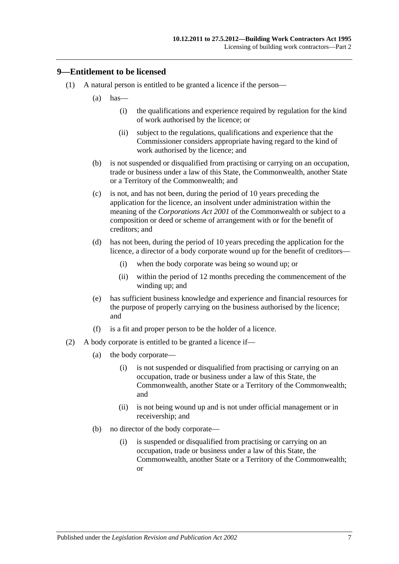#### <span id="page-6-0"></span>**9—Entitlement to be licensed**

- (1) A natural person is entitled to be granted a licence if the person—
	- $(a)$  has—
		- (i) the qualifications and experience required by regulation for the kind of work authorised by the licence; or
		- (ii) subject to the regulations, qualifications and experience that the Commissioner considers appropriate having regard to the kind of work authorised by the licence; and
	- (b) is not suspended or disqualified from practising or carrying on an occupation, trade or business under a law of this State, the Commonwealth, another State or a Territory of the Commonwealth; and
	- (c) is not, and has not been, during the period of 10 years preceding the application for the licence, an insolvent under administration within the meaning of the *Corporations Act 2001* of the Commonwealth or subject to a composition or deed or scheme of arrangement with or for the benefit of creditors; and
	- (d) has not been, during the period of 10 years preceding the application for the licence, a director of a body corporate wound up for the benefit of creditors—
		- (i) when the body corporate was being so wound up; or
		- (ii) within the period of 12 months preceding the commencement of the winding up; and
	- (e) has sufficient business knowledge and experience and financial resources for the purpose of properly carrying on the business authorised by the licence; and
	- (f) is a fit and proper person to be the holder of a licence.
- (2) A body corporate is entitled to be granted a licence if—
	- (a) the body corporate—
		- (i) is not suspended or disqualified from practising or carrying on an occupation, trade or business under a law of this State, the Commonwealth, another State or a Territory of the Commonwealth; and
		- (ii) is not being wound up and is not under official management or in receivership; and
	- (b) no director of the body corporate—
		- (i) is suspended or disqualified from practising or carrying on an occupation, trade or business under a law of this State, the Commonwealth, another State or a Territory of the Commonwealth; or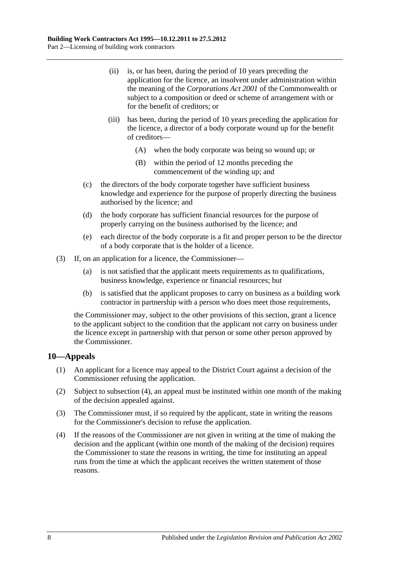- (ii) is, or has been, during the period of 10 years preceding the application for the licence, an insolvent under administration within the meaning of the *Corporations Act 2001* of the Commonwealth or subject to a composition or deed or scheme of arrangement with or for the benefit of creditors; or
- (iii) has been, during the period of 10 years preceding the application for the licence, a director of a body corporate wound up for the benefit of creditors—
	- (A) when the body corporate was being so wound up; or
	- (B) within the period of 12 months preceding the commencement of the winding up; and
- (c) the directors of the body corporate together have sufficient business knowledge and experience for the purpose of properly directing the business authorised by the licence; and
- (d) the body corporate has sufficient financial resources for the purpose of properly carrying on the business authorised by the licence; and
- (e) each director of the body corporate is a fit and proper person to be the director of a body corporate that is the holder of a licence.
- (3) If, on an application for a licence, the Commissioner—
	- (a) is not satisfied that the applicant meets requirements as to qualifications, business knowledge, experience or financial resources; but
	- (b) is satisfied that the applicant proposes to carry on business as a building work contractor in partnership with a person who does meet those requirements,

the Commissioner may, subject to the other provisions of this section, grant a licence to the applicant subject to the condition that the applicant not carry on business under the licence except in partnership with that person or some other person approved by the Commissioner.

#### <span id="page-7-0"></span>**10—Appeals**

- (1) An applicant for a licence may appeal to the District Court against a decision of the Commissioner refusing the application.
- (2) Subject to [subsection](#page-7-1) (4), an appeal must be instituted within one month of the making of the decision appealed against.
- (3) The Commissioner must, if so required by the applicant, state in writing the reasons for the Commissioner's decision to refuse the application.
- <span id="page-7-1"></span>(4) If the reasons of the Commissioner are not given in writing at the time of making the decision and the applicant (within one month of the making of the decision) requires the Commissioner to state the reasons in writing, the time for instituting an appeal runs from the time at which the applicant receives the written statement of those reasons.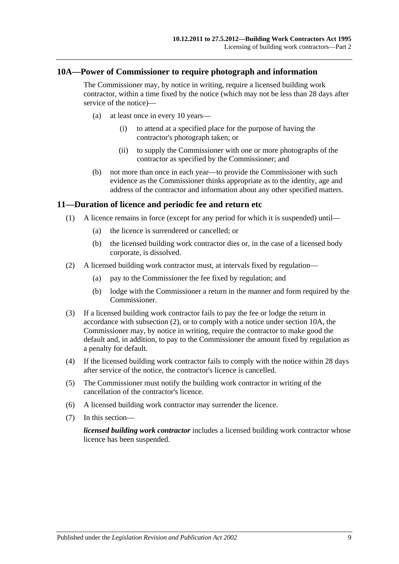#### <span id="page-8-0"></span>**10A—Power of Commissioner to require photograph and information**

The Commissioner may, by notice in writing, require a licensed building work contractor, within a time fixed by the notice (which may not be less than 28 days after service of the notice)—

- (a) at least once in every 10 years—
	- (i) to attend at a specified place for the purpose of having the contractor's photograph taken; or
	- (ii) to supply the Commissioner with one or more photographs of the contractor as specified by the Commissioner; and
- (b) not more than once in each year—to provide the Commissioner with such evidence as the Commissioner thinks appropriate as to the identity, age and address of the contractor and information about any other specified matters.

#### <span id="page-8-1"></span>**11—Duration of licence and periodic fee and return etc**

- (1) A licence remains in force (except for any period for which it is suspended) until—
	- (a) the licence is surrendered or cancelled; or
	- (b) the licensed building work contractor dies or, in the case of a licensed body corporate, is dissolved.
- <span id="page-8-2"></span>(2) A licensed building work contractor must, at intervals fixed by regulation—
	- (a) pay to the Commissioner the fee fixed by regulation; and
	- (b) lodge with the Commissioner a return in the manner and form required by the Commissioner.
- (3) If a licensed building work contractor fails to pay the fee or lodge the return in accordance with [subsection](#page-8-2) (2), or to comply with a notice under [section](#page-8-0) 10A, the Commissioner may, by notice in writing, require the contractor to make good the default and, in addition, to pay to the Commissioner the amount fixed by regulation as a penalty for default.
- (4) If the licensed building work contractor fails to comply with the notice within 28 days after service of the notice, the contractor's licence is cancelled.
- (5) The Commissioner must notify the building work contractor in writing of the cancellation of the contractor's licence.
- (6) A licensed building work contractor may surrender the licence.
- (7) In this section—

*licensed building work contractor* includes a licensed building work contractor whose licence has been suspended.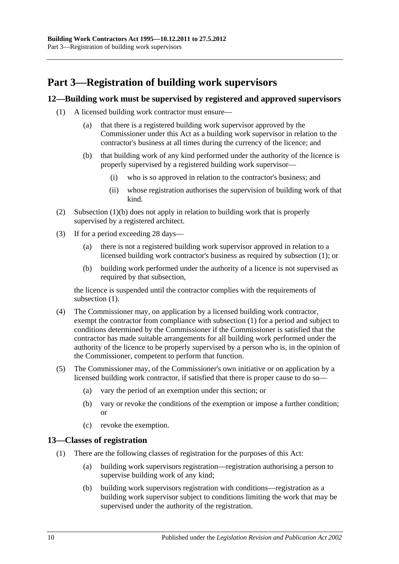## <span id="page-9-0"></span>**Part 3—Registration of building work supervisors**

#### <span id="page-9-4"></span><span id="page-9-1"></span>**12—Building work must be supervised by registered and approved supervisors**

- <span id="page-9-3"></span>(1) A licensed building work contractor must ensure—
	- (a) that there is a registered building work supervisor approved by the Commissioner under this Act as a building work supervisor in relation to the contractor's business at all times during the currency of the licence; and
	- (b) that building work of any kind performed under the authority of the licence is properly supervised by a registered building work supervisor—
		- (i) who is so approved in relation to the contractor's business; and
		- (ii) whose registration authorises the supervision of building work of that kind.
- (2) [Subsection](#page-9-3) (1)(b) does not apply in relation to building work that is properly supervised by a registered architect.
- (3) If for a period exceeding 28 days—
	- (a) there is not a registered building work supervisor approved in relation to a licensed building work contractor's business as required by [subsection](#page-9-4) (1); or
	- (b) building work performed under the authority of a licence is not supervised as required by that subsection,

the licence is suspended until the contractor complies with the requirements of [subsection](#page-9-4)  $(1)$ .

- (4) The Commissioner may, on application by a licensed building work contractor, exempt the contractor from compliance with [subsection](#page-9-4) (1) for a period and subject to conditions determined by the Commissioner if the Commissioner is satisfied that the contractor has made suitable arrangements for all building work performed under the authority of the licence to be properly supervised by a person who is, in the opinion of the Commissioner, competent to perform that function.
- (5) The Commissioner may, of the Commissioner's own initiative or on application by a licensed building work contractor, if satisfied that there is proper cause to do so—
	- (a) vary the period of an exemption under this section; or
	- (b) vary or revoke the conditions of the exemption or impose a further condition; or
	- (c) revoke the exemption.

#### <span id="page-9-2"></span>**13—Classes of registration**

- (1) There are the following classes of registration for the purposes of this Act:
	- (a) building work supervisors registration—registration authorising a person to supervise building work of any kind;
	- (b) building work supervisors registration with conditions—registration as a building work supervisor subject to conditions limiting the work that may be supervised under the authority of the registration.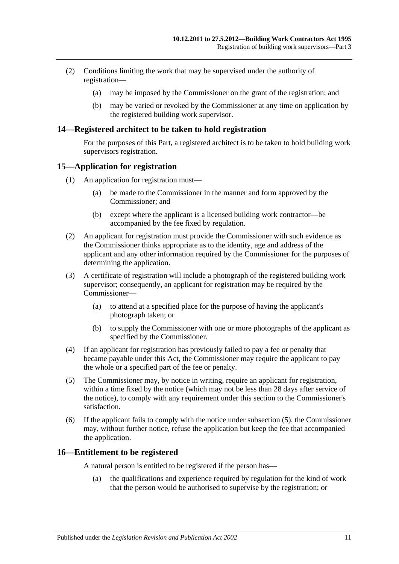- (2) Conditions limiting the work that may be supervised under the authority of registration—
	- (a) may be imposed by the Commissioner on the grant of the registration; and
	- (b) may be varied or revoked by the Commissioner at any time on application by the registered building work supervisor.

#### <span id="page-10-0"></span>**14—Registered architect to be taken to hold registration**

For the purposes of this Part, a registered architect is to be taken to hold building work supervisors registration.

#### <span id="page-10-1"></span>**15—Application for registration**

- (1) An application for registration must—
	- (a) be made to the Commissioner in the manner and form approved by the Commissioner; and
	- (b) except where the applicant is a licensed building work contractor—be accompanied by the fee fixed by regulation.
- (2) An applicant for registration must provide the Commissioner with such evidence as the Commissioner thinks appropriate as to the identity, age and address of the applicant and any other information required by the Commissioner for the purposes of determining the application.
- (3) A certificate of registration will include a photograph of the registered building work supervisor; consequently, an applicant for registration may be required by the Commissioner—
	- (a) to attend at a specified place for the purpose of having the applicant's photograph taken; or
	- (b) to supply the Commissioner with one or more photographs of the applicant as specified by the Commissioner.
- (4) If an applicant for registration has previously failed to pay a fee or penalty that became payable under this Act, the Commissioner may require the applicant to pay the whole or a specified part of the fee or penalty.
- <span id="page-10-3"></span>(5) The Commissioner may, by notice in writing, require an applicant for registration, within a time fixed by the notice (which may not be less than 28 days after service of the notice), to comply with any requirement under this section to the Commissioner's satisfaction.
- (6) If the applicant fails to comply with the notice under [subsection](#page-10-3) (5), the Commissioner may, without further notice, refuse the application but keep the fee that accompanied the application.

#### <span id="page-10-2"></span>**16—Entitlement to be registered**

A natural person is entitled to be registered if the person has—

(a) the qualifications and experience required by regulation for the kind of work that the person would be authorised to supervise by the registration; or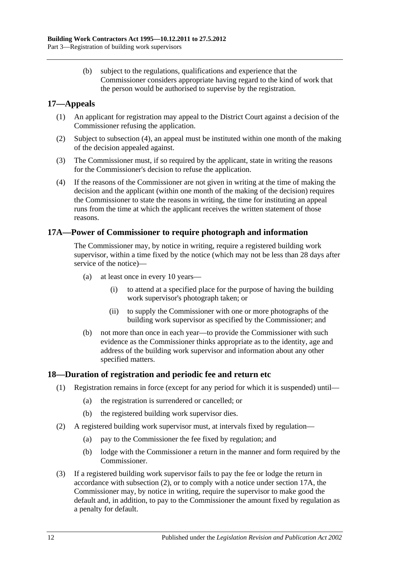(b) subject to the regulations, qualifications and experience that the Commissioner considers appropriate having regard to the kind of work that the person would be authorised to supervise by the registration.

### <span id="page-11-0"></span>**17—Appeals**

- (1) An applicant for registration may appeal to the District Court against a decision of the Commissioner refusing the application.
- (2) Subject to [subsection](#page-11-3) (4), an appeal must be instituted within one month of the making of the decision appealed against.
- (3) The Commissioner must, if so required by the applicant, state in writing the reasons for the Commissioner's decision to refuse the application.
- <span id="page-11-3"></span>(4) If the reasons of the Commissioner are not given in writing at the time of making the decision and the applicant (within one month of the making of the decision) requires the Commissioner to state the reasons in writing, the time for instituting an appeal runs from the time at which the applicant receives the written statement of those reasons.

#### <span id="page-11-1"></span>**17A—Power of Commissioner to require photograph and information**

The Commissioner may, by notice in writing, require a registered building work supervisor, within a time fixed by the notice (which may not be less than 28 days after service of the notice)—

- (a) at least once in every 10 years—
	- (i) to attend at a specified place for the purpose of having the building work supervisor's photograph taken; or
	- (ii) to supply the Commissioner with one or more photographs of the building work supervisor as specified by the Commissioner; and
- (b) not more than once in each year—to provide the Commissioner with such evidence as the Commissioner thinks appropriate as to the identity, age and address of the building work supervisor and information about any other specified matters.

#### <span id="page-11-2"></span>**18—Duration of registration and periodic fee and return etc**

- (1) Registration remains in force (except for any period for which it is suspended) until—
	- (a) the registration is surrendered or cancelled; or
	- (b) the registered building work supervisor dies.
- <span id="page-11-4"></span>(2) A registered building work supervisor must, at intervals fixed by regulation—
	- (a) pay to the Commissioner the fee fixed by regulation; and
	- (b) lodge with the Commissioner a return in the manner and form required by the Commissioner.
- (3) If a registered building work supervisor fails to pay the fee or lodge the return in accordance with [subsection](#page-11-4) (2), or to comply with a notice under [section](#page-11-1) 17A, the Commissioner may, by notice in writing, require the supervisor to make good the default and, in addition, to pay to the Commissioner the amount fixed by regulation as a penalty for default.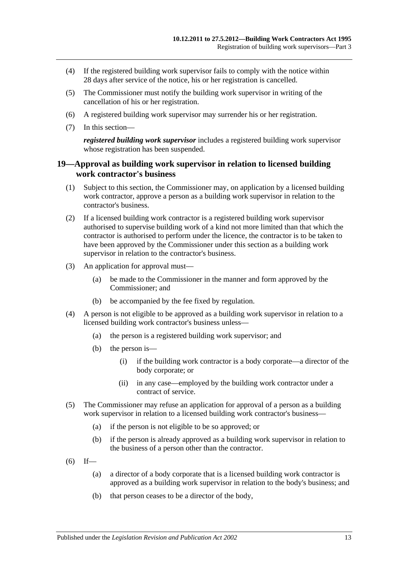- (4) If the registered building work supervisor fails to comply with the notice within 28 days after service of the notice, his or her registration is cancelled.
- (5) The Commissioner must notify the building work supervisor in writing of the cancellation of his or her registration.
- (6) A registered building work supervisor may surrender his or her registration.
- (7) In this section—

*registered building work supervisor* includes a registered building work supervisor whose registration has been suspended.

#### <span id="page-12-0"></span>**19—Approval as building work supervisor in relation to licensed building work contractor's business**

- (1) Subject to this section, the Commissioner may, on application by a licensed building work contractor, approve a person as a building work supervisor in relation to the contractor's business.
- (2) If a licensed building work contractor is a registered building work supervisor authorised to supervise building work of a kind not more limited than that which the contractor is authorised to perform under the licence, the contractor is to be taken to have been approved by the Commissioner under this section as a building work supervisor in relation to the contractor's business.
- (3) An application for approval must—
	- (a) be made to the Commissioner in the manner and form approved by the Commissioner; and
	- (b) be accompanied by the fee fixed by regulation.
- (4) A person is not eligible to be approved as a building work supervisor in relation to a licensed building work contractor's business unless—
	- (a) the person is a registered building work supervisor; and
	- (b) the person is—
		- (i) if the building work contractor is a body corporate—a director of the body corporate; or
		- (ii) in any case—employed by the building work contractor under a contract of service.
- (5) The Commissioner may refuse an application for approval of a person as a building work supervisor in relation to a licensed building work contractor's business—
	- (a) if the person is not eligible to be so approved; or
	- (b) if the person is already approved as a building work supervisor in relation to the business of a person other than the contractor.
- $(6)$  If—
	- (a) a director of a body corporate that is a licensed building work contractor is approved as a building work supervisor in relation to the body's business; and
	- (b) that person ceases to be a director of the body,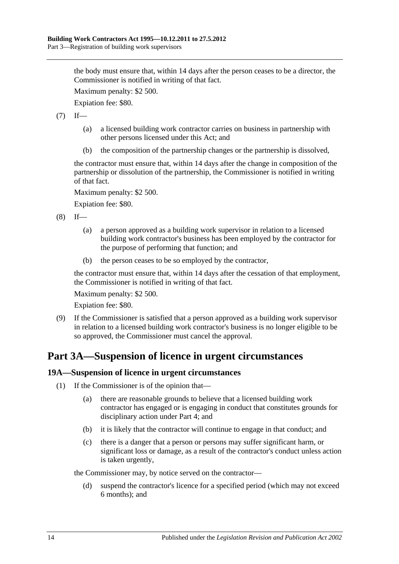the body must ensure that, within 14 days after the person ceases to be a director, the Commissioner is notified in writing of that fact.

Maximum penalty: \$2 500.

Expiation fee: \$80.

 $(7)$  If—

- (a) a licensed building work contractor carries on business in partnership with other persons licensed under this Act; and
- (b) the composition of the partnership changes or the partnership is dissolved,

the contractor must ensure that, within 14 days after the change in composition of the partnership or dissolution of the partnership, the Commissioner is notified in writing of that fact.

Maximum penalty: \$2 500.

Expiation fee: \$80.

 $(8)$  If—

- (a) a person approved as a building work supervisor in relation to a licensed building work contractor's business has been employed by the contractor for the purpose of performing that function; and
- (b) the person ceases to be so employed by the contractor,

the contractor must ensure that, within 14 days after the cessation of that employment, the Commissioner is notified in writing of that fact.

Maximum penalty: \$2 500.

Expiation fee: \$80.

(9) If the Commissioner is satisfied that a person approved as a building work supervisor in relation to a licensed building work contractor's business is no longer eligible to be so approved, the Commissioner must cancel the approval.

## <span id="page-13-0"></span>**Part 3A—Suspension of licence in urgent circumstances**

#### <span id="page-13-1"></span>**19A—Suspension of licence in urgent circumstances**

- (1) If the Commissioner is of the opinion that—
	- (a) there are reasonable grounds to believe that a licensed building work contractor has engaged or is engaging in conduct that constitutes grounds for disciplinary action under [Part 4;](#page-14-0) and
	- (b) it is likely that the contractor will continue to engage in that conduct; and
	- (c) there is a danger that a person or persons may suffer significant harm, or significant loss or damage, as a result of the contractor's conduct unless action is taken urgently,

the Commissioner may, by notice served on the contractor—

(d) suspend the contractor's licence for a specified period (which may not exceed 6 months); and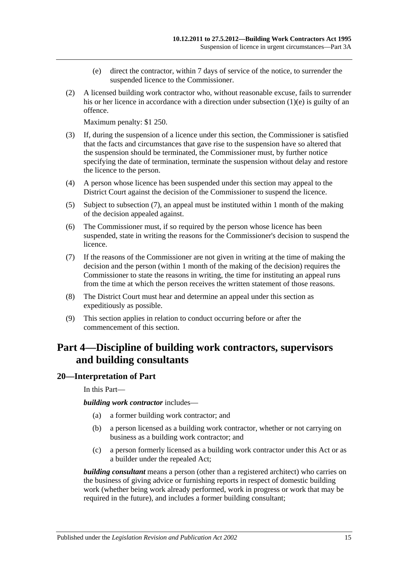- (e) direct the contractor, within 7 days of service of the notice, to surrender the suspended licence to the Commissioner.
- <span id="page-14-2"></span>(2) A licensed building work contractor who, without reasonable excuse, fails to surrender his or her licence in accordance with a direction under [subsection](#page-14-2) (1)(e) is guilty of an offence.

Maximum penalty: \$1 250.

- (3) If, during the suspension of a licence under this section, the Commissioner is satisfied that the facts and circumstances that gave rise to the suspension have so altered that the suspension should be terminated, the Commissioner must, by further notice specifying the date of termination, terminate the suspension without delay and restore the licence to the person.
- (4) A person whose licence has been suspended under this section may appeal to the District Court against the decision of the Commissioner to suspend the licence.
- (5) Subject to [subsection](#page-14-3) (7), an appeal must be instituted within 1 month of the making of the decision appealed against.
- (6) The Commissioner must, if so required by the person whose licence has been suspended, state in writing the reasons for the Commissioner's decision to suspend the licence.
- <span id="page-14-3"></span>(7) If the reasons of the Commissioner are not given in writing at the time of making the decision and the person (within 1 month of the making of the decision) requires the Commissioner to state the reasons in writing, the time for instituting an appeal runs from the time at which the person receives the written statement of those reasons.
- (8) The District Court must hear and determine an appeal under this section as expeditiously as possible.
- (9) This section applies in relation to conduct occurring before or after the commencement of this section.

## <span id="page-14-0"></span>**Part 4—Discipline of building work contractors, supervisors and building consultants**

#### <span id="page-14-1"></span>**20—Interpretation of Part**

In this Part—

*building work contractor* includes—

- (a) a former building work contractor; and
- (b) a person licensed as a building work contractor, whether or not carrying on business as a building work contractor; and
- (c) a person formerly licensed as a building work contractor under this Act or as a builder under the repealed Act;

*building consultant* means a person (other than a registered architect) who carries on the business of giving advice or furnishing reports in respect of domestic building work (whether being work already performed, work in progress or work that may be required in the future), and includes a former building consultant;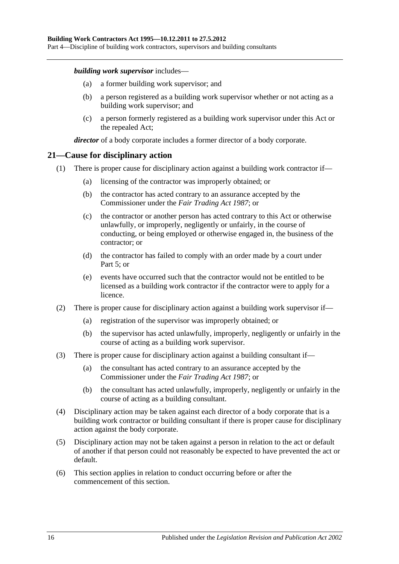Part 4—Discipline of building work contractors, supervisors and building consultants

#### *building work supervisor* includes—

- (a) a former building work supervisor; and
- (b) a person registered as a building work supervisor whether or not acting as a building work supervisor; and
- (c) a person formerly registered as a building work supervisor under this Act or the repealed Act;

*director* of a body corporate includes a former director of a body corporate.

### <span id="page-15-0"></span>**21—Cause for disciplinary action**

- (1) There is proper cause for disciplinary action against a building work contractor if—
	- (a) licensing of the contractor was improperly obtained; or
	- (b) the contractor has acted contrary to an assurance accepted by the Commissioner under the *[Fair Trading Act](http://www.legislation.sa.gov.au/index.aspx?action=legref&type=act&legtitle=Fair%20Trading%20Act%201987) 1987*; or
	- (c) the contractor or another person has acted contrary to this Act or otherwise unlawfully, or improperly, negligently or unfairly, in the course of conducting, or being employed or otherwise engaged in, the business of the contractor; or
	- (d) the contractor has failed to comply with an order made by a court under [Part](#page-17-1) 5; or
	- (e) events have occurred such that the contractor would not be entitled to be licensed as a building work contractor if the contractor were to apply for a licence.
- (2) There is proper cause for disciplinary action against a building work supervisor if—
	- (a) registration of the supervisor was improperly obtained; or
	- (b) the supervisor has acted unlawfully, improperly, negligently or unfairly in the course of acting as a building work supervisor.
- (3) There is proper cause for disciplinary action against a building consultant if—
	- (a) the consultant has acted contrary to an assurance accepted by the Commissioner under the *[Fair Trading Act](http://www.legislation.sa.gov.au/index.aspx?action=legref&type=act&legtitle=Fair%20Trading%20Act%201987) 1987*; or
	- (b) the consultant has acted unlawfully, improperly, negligently or unfairly in the course of acting as a building consultant.
- (4) Disciplinary action may be taken against each director of a body corporate that is a building work contractor or building consultant if there is proper cause for disciplinary action against the body corporate.
- (5) Disciplinary action may not be taken against a person in relation to the act or default of another if that person could not reasonably be expected to have prevented the act or default.
- (6) This section applies in relation to conduct occurring before or after the commencement of this section.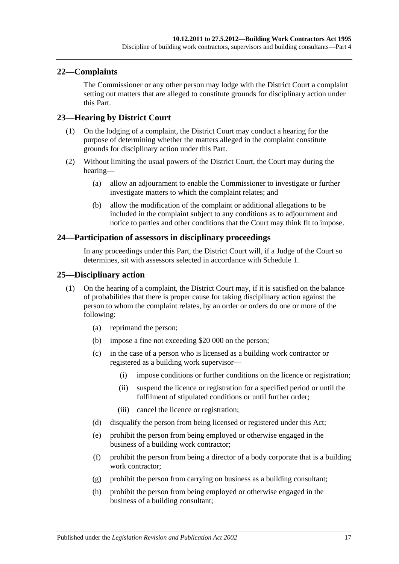### <span id="page-16-0"></span>**22—Complaints**

The Commissioner or any other person may lodge with the District Court a complaint setting out matters that are alleged to constitute grounds for disciplinary action under this Part.

### <span id="page-16-1"></span>**23—Hearing by District Court**

- (1) On the lodging of a complaint, the District Court may conduct a hearing for the purpose of determining whether the matters alleged in the complaint constitute grounds for disciplinary action under this Part.
- (2) Without limiting the usual powers of the District Court, the Court may during the hearing—
	- (a) allow an adjournment to enable the Commissioner to investigate or further investigate matters to which the complaint relates; and
	- (b) allow the modification of the complaint or additional allegations to be included in the complaint subject to any conditions as to adjournment and notice to parties and other conditions that the Court may think fit to impose.

#### <span id="page-16-2"></span>**24—Participation of assessors in disciplinary proceedings**

In any proceedings under this Part, the District Court will, if a Judge of the Court so determines, sit with assessors selected in accordance with [Schedule 1.](#page-33-1)

#### <span id="page-16-3"></span>**25—Disciplinary action**

- (1) On the hearing of a complaint, the District Court may, if it is satisfied on the balance of probabilities that there is proper cause for taking disciplinary action against the person to whom the complaint relates, by an order or orders do one or more of the following:
	- (a) reprimand the person;
	- (b) impose a fine not exceeding \$20 000 on the person;
	- (c) in the case of a person who is licensed as a building work contractor or registered as a building work supervisor—
		- (i) impose conditions or further conditions on the licence or registration;
		- (ii) suspend the licence or registration for a specified period or until the fulfilment of stipulated conditions or until further order;
		- (iii) cancel the licence or registration;
	- (d) disqualify the person from being licensed or registered under this Act;
	- (e) prohibit the person from being employed or otherwise engaged in the business of a building work contractor;
	- (f) prohibit the person from being a director of a body corporate that is a building work contractor:
	- (g) prohibit the person from carrying on business as a building consultant;
	- (h) prohibit the person from being employed or otherwise engaged in the business of a building consultant;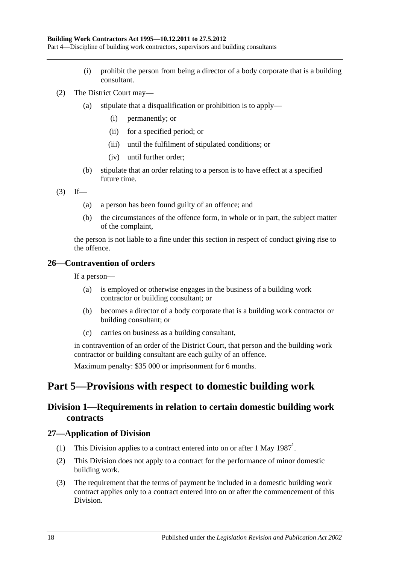Part 4—Discipline of building work contractors, supervisors and building consultants

- (i) prohibit the person from being a director of a body corporate that is a building consultant.
- (2) The District Court may—
	- (a) stipulate that a disqualification or prohibition is to apply—
		- (i) permanently; or
		- (ii) for a specified period; or
		- (iii) until the fulfilment of stipulated conditions; or
		- (iv) until further order;
	- (b) stipulate that an order relating to a person is to have effect at a specified future time.
- $(3)$  If—
	- (a) a person has been found guilty of an offence; and
	- (b) the circumstances of the offence form, in whole or in part, the subject matter of the complaint,

the person is not liable to a fine under this section in respect of conduct giving rise to the offence.

### <span id="page-17-0"></span>**26—Contravention of orders**

If a person—

- (a) is employed or otherwise engages in the business of a building work contractor or building consultant; or
- (b) becomes a director of a body corporate that is a building work contractor or building consultant; or
- (c) carries on business as a building consultant,

in contravention of an order of the District Court, that person and the building work contractor or building consultant are each guilty of an offence.

Maximum penalty: \$35 000 or imprisonment for 6 months.

## <span id="page-17-2"></span><span id="page-17-1"></span>**Part 5—Provisions with respect to domestic building work**

## **Division 1—Requirements in relation to certain domestic building work contracts**

#### <span id="page-17-3"></span>**27—Application of Division**

- (1) This Division applies to a contract entered into on or after 1 May  $1987<sup>1</sup>$ .
- (2) This Division does not apply to a contract for the performance of minor domestic building work.
- (3) The requirement that the terms of payment be included in a domestic building work contract applies only to a contract entered into on or after the commencement of this Division.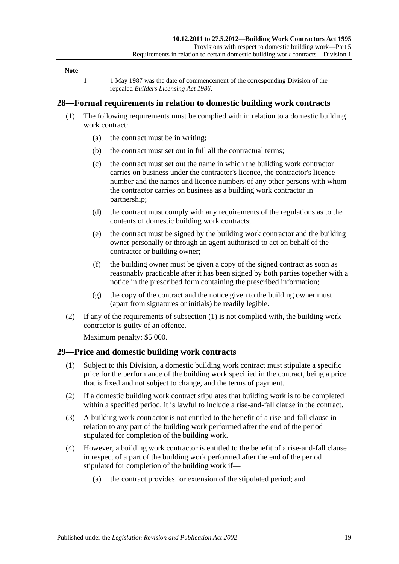#### **Note—**

1 1 May 1987 was the date of commencement of the corresponding Division of the repealed *[Builders Licensing Act](http://www.legislation.sa.gov.au/index.aspx?action=legref&type=act&legtitle=Builders%20Licensing%20Act%201986) 1986*.

#### <span id="page-18-2"></span><span id="page-18-0"></span>**28—Formal requirements in relation to domestic building work contracts**

- (1) The following requirements must be complied with in relation to a domestic building work contract:
	- (a) the contract must be in writing;
	- (b) the contract must set out in full all the contractual terms;
	- (c) the contract must set out the name in which the building work contractor carries on business under the contractor's licence, the contractor's licence number and the names and licence numbers of any other persons with whom the contractor carries on business as a building work contractor in partnership;
	- (d) the contract must comply with any requirements of the regulations as to the contents of domestic building work contracts;
	- (e) the contract must be signed by the building work contractor and the building owner personally or through an agent authorised to act on behalf of the contractor or building owner;
	- (f) the building owner must be given a copy of the signed contract as soon as reasonably practicable after it has been signed by both parties together with a notice in the prescribed form containing the prescribed information;
	- (g) the copy of the contract and the notice given to the building owner must (apart from signatures or initials) be readily legible.
- (2) If any of the requirements of [subsection](#page-18-2) (1) is not complied with, the building work contractor is guilty of an offence.

Maximum penalty: \$5 000.

#### <span id="page-18-1"></span>**29—Price and domestic building work contracts**

- (1) Subject to this Division, a domestic building work contract must stipulate a specific price for the performance of the building work specified in the contract, being a price that is fixed and not subject to change, and the terms of payment.
- (2) If a domestic building work contract stipulates that building work is to be completed within a specified period, it is lawful to include a rise-and-fall clause in the contract.
- (3) A building work contractor is not entitled to the benefit of a rise-and-fall clause in relation to any part of the building work performed after the end of the period stipulated for completion of the building work.
- (4) However, a building work contractor is entitled to the benefit of a rise-and-fall clause in respect of a part of the building work performed after the end of the period stipulated for completion of the building work if—
	- (a) the contract provides for extension of the stipulated period; and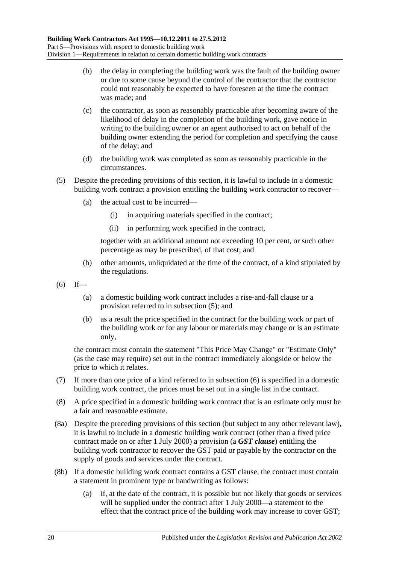- (b) the delay in completing the building work was the fault of the building owner or due to some cause beyond the control of the contractor that the contractor could not reasonably be expected to have foreseen at the time the contract was made; and
- (c) the contractor, as soon as reasonably practicable after becoming aware of the likelihood of delay in the completion of the building work, gave notice in writing to the building owner or an agent authorised to act on behalf of the building owner extending the period for completion and specifying the cause of the delay; and
- (d) the building work was completed as soon as reasonably practicable in the circumstances.
- <span id="page-19-0"></span>(5) Despite the preceding provisions of this section, it is lawful to include in a domestic building work contract a provision entitling the building work contractor to recover—
	- (a) the actual cost to be incurred—
		- (i) in acquiring materials specified in the contract;
		- (ii) in performing work specified in the contract,

together with an additional amount not exceeding 10 per cent, or such other percentage as may be prescribed, of that cost; and

- (b) other amounts, unliquidated at the time of the contract, of a kind stipulated by the regulations.
- <span id="page-19-1"></span> $(6)$  If—
	- (a) a domestic building work contract includes a rise-and-fall clause or a provision referred to in [subsection](#page-19-0) (5); and
	- (b) as a result the price specified in the contract for the building work or part of the building work or for any labour or materials may change or is an estimate only,

the contract must contain the statement "This Price May Change" or "Estimate Only" (as the case may require) set out in the contract immediately alongside or below the price to which it relates.

- (7) If more than one price of a kind referred to in [subsection](#page-19-1) (6) is specified in a domestic building work contract, the prices must be set out in a single list in the contract.
- (8) A price specified in a domestic building work contract that is an estimate only must be a fair and reasonable estimate.
- <span id="page-19-2"></span>(8a) Despite the preceding provisions of this section (but subject to any other relevant law), it is lawful to include in a domestic building work contract (other than a fixed price contract made on or after 1 July 2000) a provision (a *GST clause*) entitling the building work contractor to recover the GST paid or payable by the contractor on the supply of goods and services under the contract.
- (8b) If a domestic building work contract contains a GST clause, the contract must contain a statement in prominent type or handwriting as follows:
	- (a) if, at the date of the contract, it is possible but not likely that goods or services will be supplied under the contract after 1 July 2000—a statement to the effect that the contract price of the building work may increase to cover GST;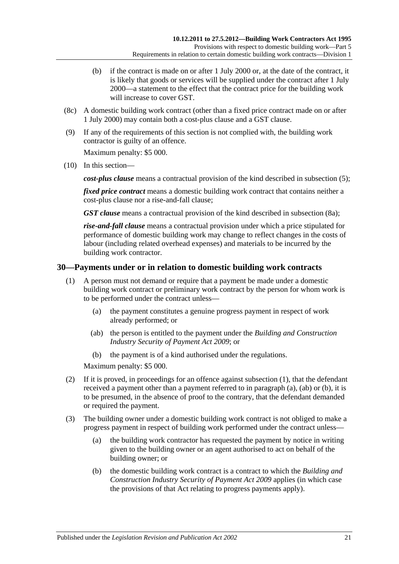- (b) if the contract is made on or after 1 July 2000 or, at the date of the contract, it is likely that goods or services will be supplied under the contract after 1 July 2000—a statement to the effect that the contract price for the building work will increase to cover GST.
- (8c) A domestic building work contract (other than a fixed price contract made on or after 1 July 2000) may contain both a cost-plus clause and a GST clause.
- (9) If any of the requirements of this section is not complied with, the building work contractor is guilty of an offence.

Maximum penalty: \$5 000.

(10) In this section—

*cost-plus clause* means a contractual provision of the kind described in [subsection](#page-19-0) (5);

*fixed price contract* means a domestic building work contract that contains neither a cost-plus clause nor a rise-and-fall clause;

*GST clause* means a contractual provision of the kind described in [subsection](#page-19-2) (8a);

*rise-and-fall clause* means a contractual provision under which a price stipulated for performance of domestic building work may change to reflect changes in the costs of labour (including related overhead expenses) and materials to be incurred by the building work contractor.

#### <span id="page-20-1"></span><span id="page-20-0"></span>**30—Payments under or in relation to domestic building work contracts**

- <span id="page-20-2"></span>(1) A person must not demand or require that a payment be made under a domestic building work contract or preliminary work contract by the person for whom work is to be performed under the contract unless—
	- (a) the payment constitutes a genuine progress payment in respect of work already performed; or
	- (ab) the person is entitled to the payment under the *[Building and Construction](http://www.legislation.sa.gov.au/index.aspx?action=legref&type=act&legtitle=Building%20and%20Construction%20Industry%20Security%20of%20Payment%20Act%202009)  [Industry Security of Payment Act](http://www.legislation.sa.gov.au/index.aspx?action=legref&type=act&legtitle=Building%20and%20Construction%20Industry%20Security%20of%20Payment%20Act%202009) 2009*; or
	- (b) the payment is of a kind authorised under the regulations.

<span id="page-20-3"></span>Maximum penalty: \$5 000.

- <span id="page-20-4"></span>(2) If it is proved, in proceedings for an offence against [subsection](#page-20-1) (1), that the defendant received a payment other than a payment referred to in [paragraph](#page-20-2) (a), [\(ab\)](#page-20-3) or [\(b\),](#page-20-4) it is to be presumed, in the absence of proof to the contrary, that the defendant demanded or required the payment.
- (3) The building owner under a domestic building work contract is not obliged to make a progress payment in respect of building work performed under the contract unless—
	- (a) the building work contractor has requested the payment by notice in writing given to the building owner or an agent authorised to act on behalf of the building owner; or
	- (b) the domestic building work contract is a contract to which the *[Building and](http://www.legislation.sa.gov.au/index.aspx?action=legref&type=act&legtitle=Building%20and%20Construction%20Industry%20Security%20of%20Payment%20Act%202009)  [Construction Industry Security of Payment Act](http://www.legislation.sa.gov.au/index.aspx?action=legref&type=act&legtitle=Building%20and%20Construction%20Industry%20Security%20of%20Payment%20Act%202009) 2009* applies (in which case the provisions of that Act relating to progress payments apply).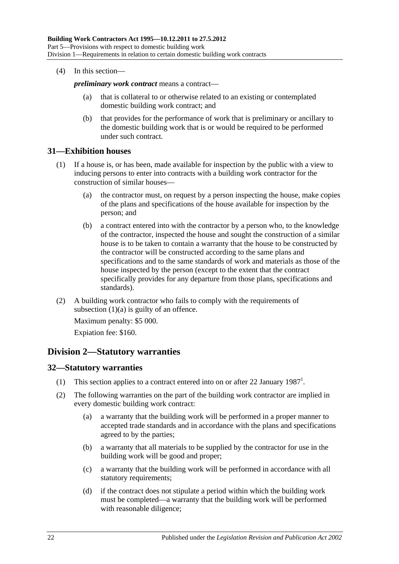(4) In this section—

*preliminary work contract* means a contract—

- (a) that is collateral to or otherwise related to an existing or contemplated domestic building work contract; and
- (b) that provides for the performance of work that is preliminary or ancillary to the domestic building work that is or would be required to be performed under such contract.

#### <span id="page-21-0"></span>**31—Exhibition houses**

- <span id="page-21-3"></span>(1) If a house is, or has been, made available for inspection by the public with a view to inducing persons to enter into contracts with a building work contractor for the construction of similar houses—
	- (a) the contractor must, on request by a person inspecting the house, make copies of the plans and specifications of the house available for inspection by the person; and
	- (b) a contract entered into with the contractor by a person who, to the knowledge of the contractor, inspected the house and sought the construction of a similar house is to be taken to contain a warranty that the house to be constructed by the contractor will be constructed according to the same plans and specifications and to the same standards of work and materials as those of the house inspected by the person (except to the extent that the contract specifically provides for any departure from those plans, specifications and standards).
- (2) A building work contractor who fails to comply with the requirements of [subsection](#page-21-3)  $(1)(a)$  is guilty of an offence.

Maximum penalty: \$5 000. Expiation fee: \$160.

## <span id="page-21-1"></span>**Division 2—Statutory warranties**

#### <span id="page-21-2"></span>**32—Statutory warranties**

- (1) This section applies to a contract entered into on or after 22 January 1987<sup>1</sup>.
- (2) The following warranties on the part of the building work contractor are implied in every domestic building work contract:
	- (a) a warranty that the building work will be performed in a proper manner to accepted trade standards and in accordance with the plans and specifications agreed to by the parties;
	- (b) a warranty that all materials to be supplied by the contractor for use in the building work will be good and proper;
	- (c) a warranty that the building work will be performed in accordance with all statutory requirements;
	- (d) if the contract does not stipulate a period within which the building work must be completed—a warranty that the building work will be performed with reasonable diligence;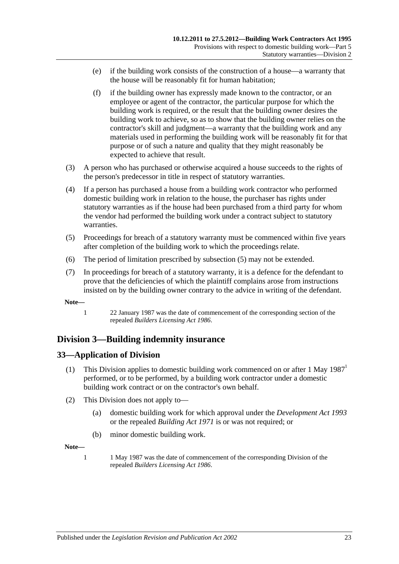- (e) if the building work consists of the construction of a house—a warranty that the house will be reasonably fit for human habitation;
- (f) if the building owner has expressly made known to the contractor, or an employee or agent of the contractor, the particular purpose for which the building work is required, or the result that the building owner desires the building work to achieve, so as to show that the building owner relies on the contractor's skill and judgment—a warranty that the building work and any materials used in performing the building work will be reasonably fit for that purpose or of such a nature and quality that they might reasonably be expected to achieve that result.
- (3) A person who has purchased or otherwise acquired a house succeeds to the rights of the person's predecessor in title in respect of statutory warranties.
- (4) If a person has purchased a house from a building work contractor who performed domestic building work in relation to the house, the purchaser has rights under statutory warranties as if the house had been purchased from a third party for whom the vendor had performed the building work under a contract subject to statutory warranties.
- <span id="page-22-2"></span>(5) Proceedings for breach of a statutory warranty must be commenced within five years after completion of the building work to which the proceedings relate.
- (6) The period of limitation prescribed by [subsection](#page-22-2) (5) may not be extended.
- (7) In proceedings for breach of a statutory warranty, it is a defence for the defendant to prove that the deficiencies of which the plaintiff complains arose from instructions insisted on by the building owner contrary to the advice in writing of the defendant.

**Note—**

1 22 January 1987 was the date of commencement of the corresponding section of the repealed *[Builders Licensing Act](http://www.legislation.sa.gov.au/index.aspx?action=legref&type=act&legtitle=Builders%20Licensing%20Act%201986) 1986*.

## <span id="page-22-0"></span>**Division 3—Building indemnity insurance**

#### <span id="page-22-1"></span>**33—Application of Division**

- (1) This Division applies to domestic building work commenced on or after 1 May  $1987<sup>1</sup>$ performed, or to be performed, by a building work contractor under a domestic building work contract or on the contractor's own behalf.
- (2) This Division does not apply to—
	- (a) domestic building work for which approval under the *[Development Act](http://www.legislation.sa.gov.au/index.aspx?action=legref&type=act&legtitle=Development%20Act%201993) 1993* or the repealed *[Building Act](http://www.legislation.sa.gov.au/index.aspx?action=legref&type=act&legtitle=Building%20Act%201971) 1971* is or was not required; or
	- (b) minor domestic building work.

**Note—**

1 1 May 1987 was the date of commencement of the corresponding Division of the repealed *[Builders Licensing Act](http://www.legislation.sa.gov.au/index.aspx?action=legref&type=act&legtitle=Builders%20Licensing%20Act%201986) 1986*.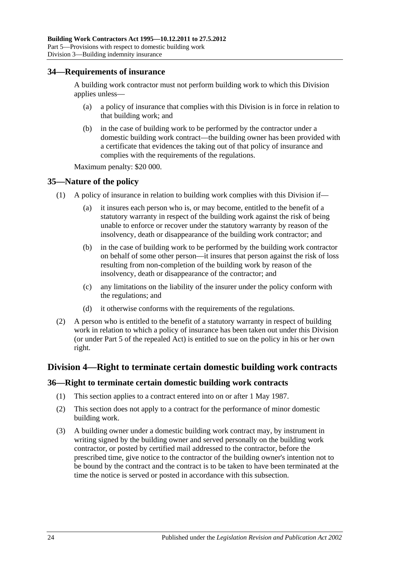#### <span id="page-23-0"></span>**34—Requirements of insurance**

A building work contractor must not perform building work to which this Division applies unless-

- (a) a policy of insurance that complies with this Division is in force in relation to that building work; and
- (b) in the case of building work to be performed by the contractor under a domestic building work contract—the building owner has been provided with a certificate that evidences the taking out of that policy of insurance and complies with the requirements of the regulations.

Maximum penalty: \$20 000.

#### <span id="page-23-1"></span>**35—Nature of the policy**

- (1) A policy of insurance in relation to building work complies with this Division if—
	- (a) it insures each person who is, or may become, entitled to the benefit of a statutory warranty in respect of the building work against the risk of being unable to enforce or recover under the statutory warranty by reason of the insolvency, death or disappearance of the building work contractor; and
	- (b) in the case of building work to be performed by the building work contractor on behalf of some other person—it insures that person against the risk of loss resulting from non-completion of the building work by reason of the insolvency, death or disappearance of the contractor; and
	- (c) any limitations on the liability of the insurer under the policy conform with the regulations; and
	- (d) it otherwise conforms with the requirements of the regulations.
- (2) A person who is entitled to the benefit of a statutory warranty in respect of building work in relation to which a policy of insurance has been taken out under this Division (or under Part 5 of the repealed Act) is entitled to sue on the policy in his or her own right.

#### <span id="page-23-2"></span>**Division 4—Right to terminate certain domestic building work contracts**

#### <span id="page-23-3"></span>**36—Right to terminate certain domestic building work contracts**

- (1) This section applies to a contract entered into on or after 1 May 1987.
- (2) This section does not apply to a contract for the performance of minor domestic building work.
- <span id="page-23-4"></span>(3) A building owner under a domestic building work contract may, by instrument in writing signed by the building owner and served personally on the building work contractor, or posted by certified mail addressed to the contractor, before the prescribed time, give notice to the contractor of the building owner's intention not to be bound by the contract and the contract is to be taken to have been terminated at the time the notice is served or posted in accordance with this subsection.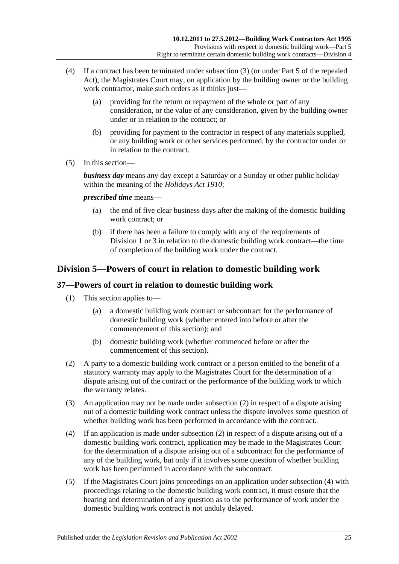- (4) If a contract has been terminated under [subsection](#page-23-4) (3) (or under Part 5 of the repealed Act), the Magistrates Court may, on application by the building owner or the building work contractor, make such orders as it thinks just—
	- (a) providing for the return or repayment of the whole or part of any consideration, or the value of any consideration, given by the building owner under or in relation to the contract; or
	- (b) providing for payment to the contractor in respect of any materials supplied, or any building work or other services performed, by the contractor under or in relation to the contract.
- (5) In this section—

*business day* means any day except a Saturday or a Sunday or other public holiday within the meaning of the *[Holidays Act](http://www.legislation.sa.gov.au/index.aspx?action=legref&type=act&legtitle=Holidays%20Act%201910) 1910*;

*prescribed time* means—

- (a) the end of five clear business days after the making of the domestic building work contract; or
- (b) if there has been a failure to comply with any of the requirements of [Division](#page-17-2) 1 or [3](#page-22-0) in relation to the domestic building work contract—the time of completion of the building work under the contract.

## <span id="page-24-0"></span>**Division 5—Powers of court in relation to domestic building work**

## <span id="page-24-1"></span>**37—Powers of court in relation to domestic building work**

- (1) This section applies to—
	- (a) a domestic building work contract or subcontract for the performance of domestic building work (whether entered into before or after the commencement of this section); and
	- (b) domestic building work (whether commenced before or after the commencement of this section).
- <span id="page-24-2"></span>(2) A party to a domestic building work contract or a person entitled to the benefit of a statutory warranty may apply to the Magistrates Court for the determination of a dispute arising out of the contract or the performance of the building work to which the warranty relates.
- (3) An application may not be made under [subsection](#page-24-2) (2) in respect of a dispute arising out of a domestic building work contract unless the dispute involves some question of whether building work has been performed in accordance with the contract.
- <span id="page-24-3"></span>(4) If an application is made under [subsection](#page-24-2) (2) in respect of a dispute arising out of a domestic building work contract, application may be made to the Magistrates Court for the determination of a dispute arising out of a subcontract for the performance of any of the building work, but only if it involves some question of whether building work has been performed in accordance with the subcontract.
- (5) If the Magistrates Court joins proceedings on an application under [subsection](#page-24-3) (4) with proceedings relating to the domestic building work contract, it must ensure that the hearing and determination of any question as to the performance of work under the domestic building work contract is not unduly delayed.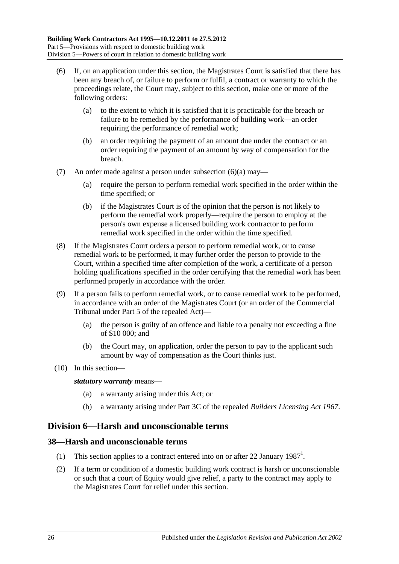- <span id="page-25-2"></span>(6) If, on an application under this section, the Magistrates Court is satisfied that there has been any breach of, or failure to perform or fulfil, a contract or warranty to which the proceedings relate, the Court may, subject to this section, make one or more of the following orders:
	- (a) to the extent to which it is satisfied that it is practicable for the breach or failure to be remedied by the performance of building work—an order requiring the performance of remedial work;
	- (b) an order requiring the payment of an amount due under the contract or an order requiring the payment of an amount by way of compensation for the breach.
- (7) An order made against a person under [subsection](#page-25-2) (6)(a) may—
	- (a) require the person to perform remedial work specified in the order within the time specified; or
	- (b) if the Magistrates Court is of the opinion that the person is not likely to perform the remedial work properly—require the person to employ at the person's own expense a licensed building work contractor to perform remedial work specified in the order within the time specified.
- (8) If the Magistrates Court orders a person to perform remedial work, or to cause remedial work to be performed, it may further order the person to provide to the Court, within a specified time after completion of the work, a certificate of a person holding qualifications specified in the order certifying that the remedial work has been performed properly in accordance with the order.
- (9) If a person fails to perform remedial work, or to cause remedial work to be performed, in accordance with an order of the Magistrates Court (or an order of the Commercial Tribunal under Part 5 of the repealed Act)—
	- (a) the person is guilty of an offence and liable to a penalty not exceeding a fine of \$10 000; and
	- (b) the Court may, on application, order the person to pay to the applicant such amount by way of compensation as the Court thinks just.
- (10) In this section—

*statutory warranty* means—

- (a) a warranty arising under this Act; or
- (b) a warranty arising under Part 3C of the repealed *[Builders Licensing Act](http://www.legislation.sa.gov.au/index.aspx?action=legref&type=act&legtitle=Builders%20Licensing%20Act%201967) 1967*.

## <span id="page-25-0"></span>**Division 6—Harsh and unconscionable terms**

#### <span id="page-25-1"></span>**38—Harsh and unconscionable terms**

- (1) This section applies to a contract entered into on or after 22 January  $1987<sup>1</sup>$ .
- <span id="page-25-3"></span>(2) If a term or condition of a domestic building work contract is harsh or unconscionable or such that a court of Equity would give relief, a party to the contract may apply to the Magistrates Court for relief under this section.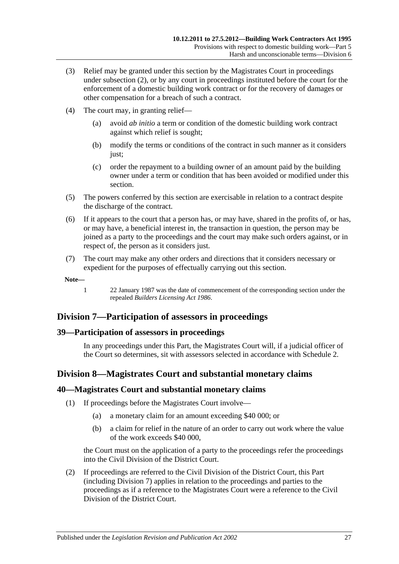- (3) Relief may be granted under this section by the Magistrates Court in proceedings under [subsection](#page-25-3) (2), or by any court in proceedings instituted before the court for the enforcement of a domestic building work contract or for the recovery of damages or other compensation for a breach of such a contract.
- (4) The court may, in granting relief—
	- (a) avoid *ab initio* a term or condition of the domestic building work contract against which relief is sought;
	- (b) modify the terms or conditions of the contract in such manner as it considers just;
	- (c) order the repayment to a building owner of an amount paid by the building owner under a term or condition that has been avoided or modified under this section.
- (5) The powers conferred by this section are exercisable in relation to a contract despite the discharge of the contract.
- (6) If it appears to the court that a person has, or may have, shared in the profits of, or has, or may have, a beneficial interest in, the transaction in question, the person may be joined as a party to the proceedings and the court may make such orders against, or in respect of, the person as it considers just.
- (7) The court may make any other orders and directions that it considers necessary or expedient for the purposes of effectually carrying out this section.

**Note—**

1 22 January 1987 was the date of commencement of the corresponding section under the repealed *[Builders Licensing Act](http://www.legislation.sa.gov.au/index.aspx?action=legref&type=act&legtitle=Builders%20Licensing%20Act%201986) 1986*.

## <span id="page-26-0"></span>**Division 7—Participation of assessors in proceedings**

#### <span id="page-26-1"></span>**39—Participation of assessors in proceedings**

In any proceedings under this Part, the Magistrates Court will, if a judicial officer of the Court so determines, sit with assessors selected in accordance with [Schedule 2.](#page-34-0)

## <span id="page-26-2"></span>**Division 8—Magistrates Court and substantial monetary claims**

#### <span id="page-26-3"></span>**40—Magistrates Court and substantial monetary claims**

- (1) If proceedings before the Magistrates Court involve—
	- (a) a monetary claim for an amount exceeding \$40 000; or
	- (b) a claim for relief in the nature of an order to carry out work where the value of the work exceeds \$40 000,

the Court must on the application of a party to the proceedings refer the proceedings into the Civil Division of the District Court.

(2) If proceedings are referred to the Civil Division of the District Court, this Part (including [Division 7\)](#page-26-0) applies in relation to the proceedings and parties to the proceedings as if a reference to the Magistrates Court were a reference to the Civil Division of the District Court.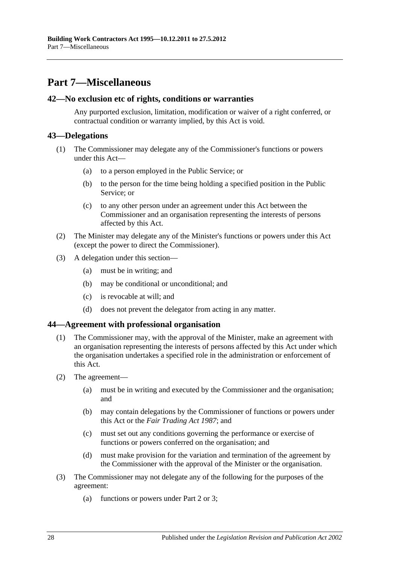## <span id="page-27-0"></span>**Part 7—Miscellaneous**

#### <span id="page-27-1"></span>**42—No exclusion etc of rights, conditions or warranties**

Any purported exclusion, limitation, modification or waiver of a right conferred, or contractual condition or warranty implied, by this Act is void.

### <span id="page-27-2"></span>**43—Delegations**

- (1) The Commissioner may delegate any of the Commissioner's functions or powers under this Act—
	- (a) to a person employed in the Public Service; or
	- (b) to the person for the time being holding a specified position in the Public Service; or
	- (c) to any other person under an agreement under this Act between the Commissioner and an organisation representing the interests of persons affected by this Act.
- (2) The Minister may delegate any of the Minister's functions or powers under this Act (except the power to direct the Commissioner).
- (3) A delegation under this section—
	- (a) must be in writing; and
	- (b) may be conditional or unconditional; and
	- (c) is revocable at will; and
	- (d) does not prevent the delegator from acting in any matter.

#### <span id="page-27-3"></span>**44—Agreement with professional organisation**

- (1) The Commissioner may, with the approval of the Minister, make an agreement with an organisation representing the interests of persons affected by this Act under which the organisation undertakes a specified role in the administration or enforcement of this Act.
- (2) The agreement—
	- (a) must be in writing and executed by the Commissioner and the organisation; and
	- (b) may contain delegations by the Commissioner of functions or powers under this Act or the *[Fair Trading Act](http://www.legislation.sa.gov.au/index.aspx?action=legref&type=act&legtitle=Fair%20Trading%20Act%201987) 1987*; and
	- (c) must set out any conditions governing the performance or exercise of functions or powers conferred on the organisation; and
	- (d) must make provision for the variation and termination of the agreement by the Commissioner with the approval of the Minister or the organisation.
- (3) The Commissioner may not delegate any of the following for the purposes of the agreement:
	- (a) functions or powers under [Part 2](#page-4-2) or [3;](#page-9-0)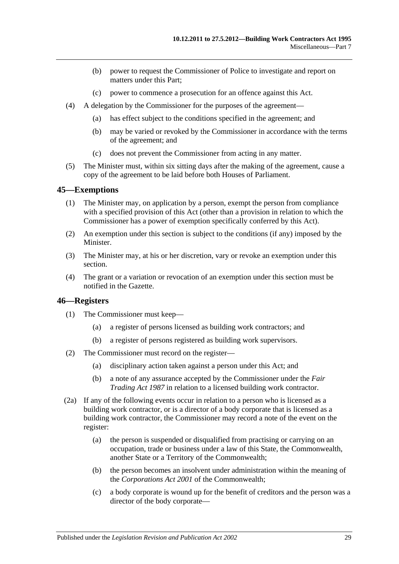- (b) power to request the Commissioner of Police to investigate and report on matters under this Part;
- (c) power to commence a prosecution for an offence against this Act.
- (4) A delegation by the Commissioner for the purposes of the agreement—
	- (a) has effect subject to the conditions specified in the agreement; and
	- (b) may be varied or revoked by the Commissioner in accordance with the terms of the agreement; and
	- (c) does not prevent the Commissioner from acting in any matter.
- (5) The Minister must, within six sitting days after the making of the agreement, cause a copy of the agreement to be laid before both Houses of Parliament.

#### <span id="page-28-0"></span>**45—Exemptions**

- (1) The Minister may, on application by a person, exempt the person from compliance with a specified provision of this Act (other than a provision in relation to which the Commissioner has a power of exemption specifically conferred by this Act).
- (2) An exemption under this section is subject to the conditions (if any) imposed by the Minister.
- (3) The Minister may, at his or her discretion, vary or revoke an exemption under this section.
- (4) The grant or a variation or revocation of an exemption under this section must be notified in the Gazette.

#### <span id="page-28-1"></span>**46—Registers**

- (1) The Commissioner must keep—
	- (a) a register of persons licensed as building work contractors; and
	- (b) a register of persons registered as building work supervisors.
- (2) The Commissioner must record on the register—
	- (a) disciplinary action taken against a person under this Act; and
	- (b) a note of any assurance accepted by the Commissioner under the *[Fair](http://www.legislation.sa.gov.au/index.aspx?action=legref&type=act&legtitle=Fair%20Trading%20Act%201987)  [Trading Act](http://www.legislation.sa.gov.au/index.aspx?action=legref&type=act&legtitle=Fair%20Trading%20Act%201987) 1987* in relation to a licensed building work contractor.
- (2a) If any of the following events occur in relation to a person who is licensed as a building work contractor, or is a director of a body corporate that is licensed as a building work contractor, the Commissioner may record a note of the event on the register:
	- (a) the person is suspended or disqualified from practising or carrying on an occupation, trade or business under a law of this State, the Commonwealth, another State or a Territory of the Commonwealth;
	- (b) the person becomes an insolvent under administration within the meaning of the *Corporations Act 2001* of the Commonwealth;
	- (c) a body corporate is wound up for the benefit of creditors and the person was a director of the body corporate—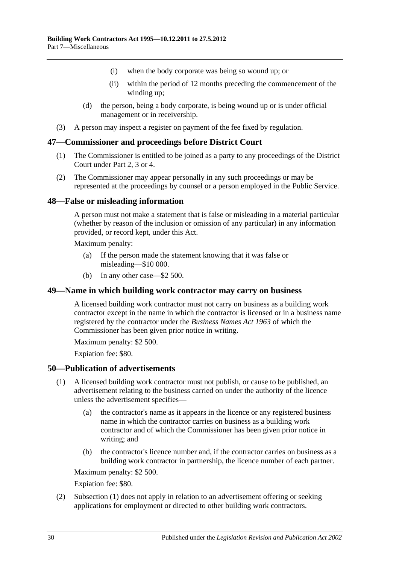- (i) when the body corporate was being so wound up; or
- (ii) within the period of 12 months preceding the commencement of the winding up;
- (d) the person, being a body corporate, is being wound up or is under official management or in receivership.
- (3) A person may inspect a register on payment of the fee fixed by regulation.

#### <span id="page-29-0"></span>**47—Commissioner and proceedings before District Court**

- (1) The Commissioner is entitled to be joined as a party to any proceedings of the District Court under [Part 2,](#page-4-2) [3](#page-9-0) or [4.](#page-14-0)
- (2) The Commissioner may appear personally in any such proceedings or may be represented at the proceedings by counsel or a person employed in the Public Service.

#### <span id="page-29-1"></span>**48—False or misleading information**

A person must not make a statement that is false or misleading in a material particular (whether by reason of the inclusion or omission of any particular) in any information provided, or record kept, under this Act.

Maximum penalty:

- (a) If the person made the statement knowing that it was false or misleading—\$10 000.
- (b) In any other case—\$2 500.

#### <span id="page-29-2"></span>**49—Name in which building work contractor may carry on business**

A licensed building work contractor must not carry on business as a building work contractor except in the name in which the contractor is licensed or in a business name registered by the contractor under the *[Business Names Act](http://www.legislation.sa.gov.au/index.aspx?action=legref&type=act&legtitle=Business%20Names%20Act%201963) 1963* of which the Commissioner has been given prior notice in writing.

Maximum penalty: \$2 500.

Expiation fee: \$80.

#### <span id="page-29-4"></span><span id="page-29-3"></span>**50—Publication of advertisements**

- (1) A licensed building work contractor must not publish, or cause to be published, an advertisement relating to the business carried on under the authority of the licence unless the advertisement specifies—
	- (a) the contractor's name as it appears in the licence or any registered business name in which the contractor carries on business as a building work contractor and of which the Commissioner has been given prior notice in writing; and
	- (b) the contractor's licence number and, if the contractor carries on business as a building work contractor in partnership, the licence number of each partner.

Maximum penalty: \$2 500.

Expiation fee: \$80.

(2) [Subsection](#page-29-4) (1) does not apply in relation to an advertisement offering or seeking applications for employment or directed to other building work contractors.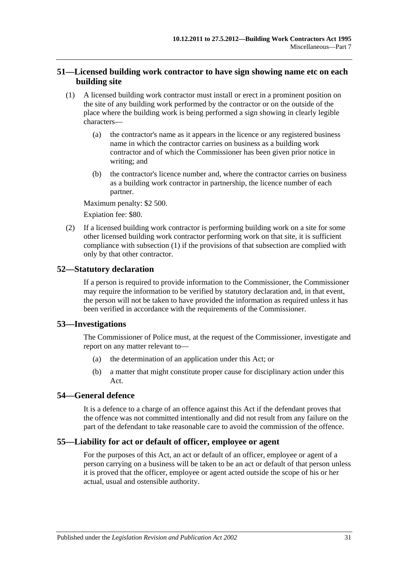### <span id="page-30-0"></span>**51—Licensed building work contractor to have sign showing name etc on each building site**

- <span id="page-30-5"></span>(1) A licensed building work contractor must install or erect in a prominent position on the site of any building work performed by the contractor or on the outside of the place where the building work is being performed a sign showing in clearly legible characters—
	- (a) the contractor's name as it appears in the licence or any registered business name in which the contractor carries on business as a building work contractor and of which the Commissioner has been given prior notice in writing; and
	- (b) the contractor's licence number and, where the contractor carries on business as a building work contractor in partnership, the licence number of each partner.

Maximum penalty: \$2 500.

Expiation fee: \$80.

(2) If a licensed building work contractor is performing building work on a site for some other licensed building work contractor performing work on that site, it is sufficient compliance with [subsection](#page-30-5) (1) if the provisions of that subsection are complied with only by that other contractor.

#### <span id="page-30-1"></span>**52—Statutory declaration**

If a person is required to provide information to the Commissioner, the Commissioner may require the information to be verified by statutory declaration and, in that event, the person will not be taken to have provided the information as required unless it has been verified in accordance with the requirements of the Commissioner.

#### <span id="page-30-2"></span>**53—Investigations**

The Commissioner of Police must, at the request of the Commissioner, investigate and report on any matter relevant to—

- (a) the determination of an application under this Act; or
- (b) a matter that might constitute proper cause for disciplinary action under this Act.

#### <span id="page-30-3"></span>**54—General defence**

It is a defence to a charge of an offence against this Act if the defendant proves that the offence was not committed intentionally and did not result from any failure on the part of the defendant to take reasonable care to avoid the commission of the offence.

#### <span id="page-30-4"></span>**55—Liability for act or default of officer, employee or agent**

For the purposes of this Act, an act or default of an officer, employee or agent of a person carrying on a business will be taken to be an act or default of that person unless it is proved that the officer, employee or agent acted outside the scope of his or her actual, usual and ostensible authority.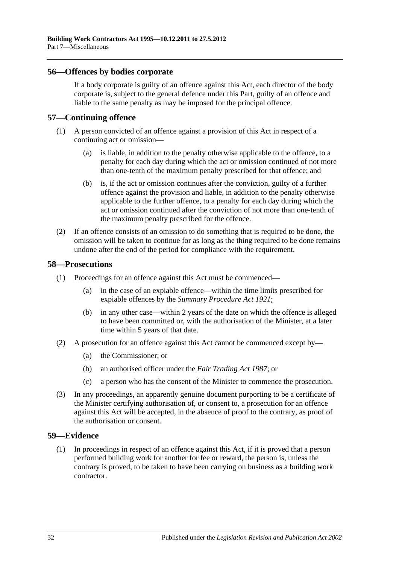#### <span id="page-31-0"></span>**56—Offences by bodies corporate**

If a body corporate is guilty of an offence against this Act, each director of the body corporate is, subject to the general defence under this Part, guilty of an offence and liable to the same penalty as may be imposed for the principal offence.

#### <span id="page-31-1"></span>**57—Continuing offence**

- (1) A person convicted of an offence against a provision of this Act in respect of a continuing act or omission—
	- (a) is liable, in addition to the penalty otherwise applicable to the offence, to a penalty for each day during which the act or omission continued of not more than one-tenth of the maximum penalty prescribed for that offence; and
	- (b) is, if the act or omission continues after the conviction, guilty of a further offence against the provision and liable, in addition to the penalty otherwise applicable to the further offence, to a penalty for each day during which the act or omission continued after the conviction of not more than one-tenth of the maximum penalty prescribed for the offence.
- (2) If an offence consists of an omission to do something that is required to be done, the omission will be taken to continue for as long as the thing required to be done remains undone after the end of the period for compliance with the requirement.

#### <span id="page-31-2"></span>**58—Prosecutions**

- (1) Proceedings for an offence against this Act must be commenced—
	- (a) in the case of an expiable offence—within the time limits prescribed for expiable offences by the *[Summary Procedure Act](http://www.legislation.sa.gov.au/index.aspx?action=legref&type=act&legtitle=Summary%20Procedure%20Act%201921) 1921*;
	- (b) in any other case—within 2 years of the date on which the offence is alleged to have been committed or, with the authorisation of the Minister, at a later time within 5 years of that date.
- (2) A prosecution for an offence against this Act cannot be commenced except by—
	- (a) the Commissioner; or
	- (b) an authorised officer under the *[Fair Trading Act](http://www.legislation.sa.gov.au/index.aspx?action=legref&type=act&legtitle=Fair%20Trading%20Act%201987) 1987*; or
	- (c) a person who has the consent of the Minister to commence the prosecution.
- (3) In any proceedings, an apparently genuine document purporting to be a certificate of the Minister certifying authorisation of, or consent to, a prosecution for an offence against this Act will be accepted, in the absence of proof to the contrary, as proof of the authorisation or consent.

#### <span id="page-31-3"></span>**59—Evidence**

(1) In proceedings in respect of an offence against this Act, if it is proved that a person performed building work for another for fee or reward, the person is, unless the contrary is proved, to be taken to have been carrying on business as a building work contractor.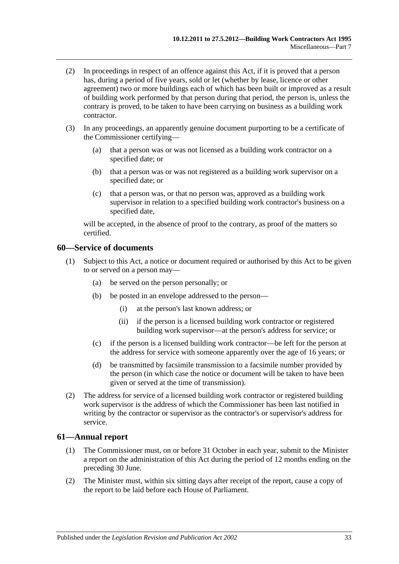- (2) In proceedings in respect of an offence against this Act, if it is proved that a person has, during a period of five years, sold or let (whether by lease, licence or other agreement) two or more buildings each of which has been built or improved as a result of building work performed by that person during that period, the person is, unless the contrary is proved, to be taken to have been carrying on business as a building work contractor.
- (3) In any proceedings, an apparently genuine document purporting to be a certificate of the Commissioner certifying—
	- (a) that a person was or was not licensed as a building work contractor on a specified date; or
	- (b) that a person was or was not registered as a building work supervisor on a specified date; or
	- (c) that a person was, or that no person was, approved as a building work supervisor in relation to a specified building work contractor's business on a specified date,

will be accepted, in the absence of proof to the contrary, as proof of the matters so certified.

#### <span id="page-32-0"></span>**60—Service of documents**

- (1) Subject to this Act, a notice or document required or authorised by this Act to be given to or served on a person may—
	- (a) be served on the person personally; or
	- (b) be posted in an envelope addressed to the person—
		- (i) at the person's last known address; or
		- (ii) if the person is a licensed building work contractor or registered building work supervisor—at the person's address for service; or
	- (c) if the person is a licensed building work contractor—be left for the person at the address for service with someone apparently over the age of 16 years; or
	- (d) be transmitted by facsimile transmission to a facsimile number provided by the person (in which case the notice or document will be taken to have been given or served at the time of transmission).
- (2) The address for service of a licensed building work contractor or registered building work supervisor is the address of which the Commissioner has been last notified in writing by the contractor or supervisor as the contractor's or supervisor's address for service.

#### <span id="page-32-1"></span>**61—Annual report**

- (1) The Commissioner must, on or before 31 October in each year, submit to the Minister a report on the administration of this Act during the period of 12 months ending on the preceding 30 June.
- (2) The Minister must, within six sitting days after receipt of the report, cause a copy of the report to be laid before each House of Parliament.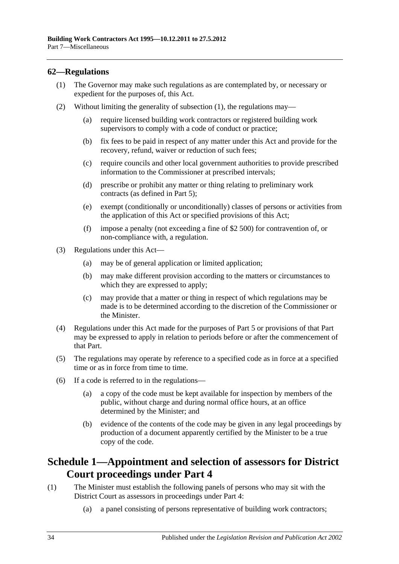### <span id="page-33-2"></span><span id="page-33-0"></span>**62—Regulations**

- (1) The Governor may make such regulations as are contemplated by, or necessary or expedient for the purposes of, this Act.
- (2) Without limiting the generality of [subsection](#page-33-2) (1), the regulations may—
	- (a) require licensed building work contractors or registered building work supervisors to comply with a code of conduct or practice;
	- (b) fix fees to be paid in respect of any matter under this Act and provide for the recovery, refund, waiver or reduction of such fees;
	- (c) require councils and other local government authorities to provide prescribed information to the Commissioner at prescribed intervals;
	- (d) prescribe or prohibit any matter or thing relating to preliminary work contracts (as defined in [Part 5\)](#page-17-1);
	- (e) exempt (conditionally or unconditionally) classes of persons or activities from the application of this Act or specified provisions of this Act;
	- (f) impose a penalty (not exceeding a fine of \$2 500) for contravention of, or non-compliance with, a regulation.
- (3) Regulations under this Act—
	- (a) may be of general application or limited application;
	- (b) may make different provision according to the matters or circumstances to which they are expressed to apply;
	- (c) may provide that a matter or thing in respect of which regulations may be made is to be determined according to the discretion of the Commissioner or the Minister.
- (4) Regulations under this Act made for the purposes of [Part 5](#page-17-1) or provisions of that Part may be expressed to apply in relation to periods before or after the commencement of that Part.
- (5) The regulations may operate by reference to a specified code as in force at a specified time or as in force from time to time.
- (6) If a code is referred to in the regulations—
	- (a) a copy of the code must be kept available for inspection by members of the public, without charge and during normal office hours, at an office determined by the Minister; and
	- (b) evidence of the contents of the code may be given in any legal proceedings by production of a document apparently certified by the Minister to be a true copy of the code.

## <span id="page-33-1"></span>**Schedule 1—Appointment and selection of assessors for District Court proceedings under [Part 4](#page-14-0)**

- (1) The Minister must establish the following panels of persons who may sit with the District Court as assessors in proceedings under [Part 4:](#page-14-0)
	- (a) a panel consisting of persons representative of building work contractors;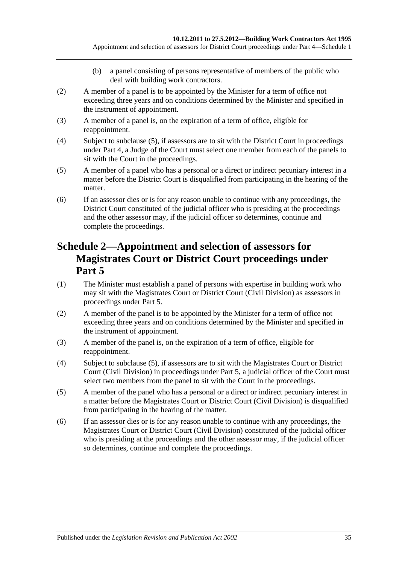- (b) a panel consisting of persons representative of members of the public who deal with building work contractors.
- (2) A member of a panel is to be appointed by the Minister for a term of office not exceeding three years and on conditions determined by the Minister and specified in the instrument of appointment.
- (3) A member of a panel is, on the expiration of a term of office, eligible for reappointment.
- (4) Subject to [subclause](#page-34-1) (5), if assessors are to sit with the District Court in proceedings under [Part 4,](#page-14-0) a Judge of the Court must select one member from each of the panels to sit with the Court in the proceedings.
- <span id="page-34-1"></span>(5) A member of a panel who has a personal or a direct or indirect pecuniary interest in a matter before the District Court is disqualified from participating in the hearing of the matter.
- (6) If an assessor dies or is for any reason unable to continue with any proceedings, the District Court constituted of the judicial officer who is presiding at the proceedings and the other assessor may, if the judicial officer so determines, continue and complete the proceedings.

## <span id="page-34-0"></span>**Schedule 2—Appointment and selection of assessors for Magistrates Court or District Court proceedings under [Part](#page-17-1) 5**

- (1) The Minister must establish a panel of persons with expertise in building work who may sit with the Magistrates Court or District Court (Civil Division) as assessors in proceedings under [Part 5.](#page-17-1)
- (2) A member of the panel is to be appointed by the Minister for a term of office not exceeding three years and on conditions determined by the Minister and specified in the instrument of appointment.
- (3) A member of the panel is, on the expiration of a term of office, eligible for reappointment.
- (4) Subject to [subclause](#page-34-2) (5), if assessors are to sit with the Magistrates Court or District Court (Civil Division) in proceedings under [Part 5,](#page-17-1) a judicial officer of the Court must select two members from the panel to sit with the Court in the proceedings.
- <span id="page-34-2"></span>(5) A member of the panel who has a personal or a direct or indirect pecuniary interest in a matter before the Magistrates Court or District Court (Civil Division) is disqualified from participating in the hearing of the matter.
- (6) If an assessor dies or is for any reason unable to continue with any proceedings, the Magistrates Court or District Court (Civil Division) constituted of the judicial officer who is presiding at the proceedings and the other assessor may, if the judicial officer so determines, continue and complete the proceedings.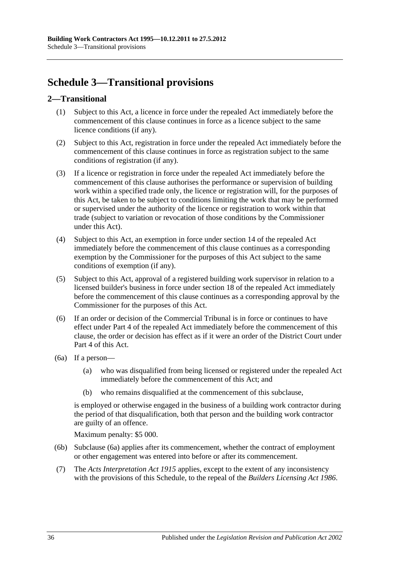## <span id="page-35-0"></span>**Schedule 3—Transitional provisions**

## <span id="page-35-1"></span>**2—Transitional**

- (1) Subject to this Act, a licence in force under the repealed Act immediately before the commencement of this clause continues in force as a licence subject to the same licence conditions (if any).
- (2) Subject to this Act, registration in force under the repealed Act immediately before the commencement of this clause continues in force as registration subject to the same conditions of registration (if any).
- (3) If a licence or registration in force under the repealed Act immediately before the commencement of this clause authorises the performance or supervision of building work within a specified trade only, the licence or registration will, for the purposes of this Act, be taken to be subject to conditions limiting the work that may be performed or supervised under the authority of the licence or registration to work within that trade (subject to variation or revocation of those conditions by the Commissioner under this Act).
- (4) Subject to this Act, an exemption in force under section 14 of the repealed Act immediately before the commencement of this clause continues as a corresponding exemption by the Commissioner for the purposes of this Act subject to the same conditions of exemption (if any).
- (5) Subject to this Act, approval of a registered building work supervisor in relation to a licensed builder's business in force under section 18 of the repealed Act immediately before the commencement of this clause continues as a corresponding approval by the Commissioner for the purposes of this Act.
- (6) If an order or decision of the Commercial Tribunal is in force or continues to have effect under Part 4 of the repealed Act immediately before the commencement of this clause, the order or decision has effect as if it were an order of the District Court under [Part 4](#page-14-0) of this Act.
- <span id="page-35-2"></span>(6a) If a person—
	- (a) who was disqualified from being licensed or registered under the repealed Act immediately before the commencement of this Act; and
	- (b) who remains disqualified at the commencement of this subclause,

is employed or otherwise engaged in the business of a building work contractor during the period of that disqualification, both that person and the building work contractor are guilty of an offence.

Maximum penalty: \$5 000.

- (6b) [Subclause](#page-35-2) (6a) applies after its commencement, whether the contract of employment or other engagement was entered into before or after its commencement.
- (7) The *[Acts Interpretation Act](http://www.legislation.sa.gov.au/index.aspx?action=legref&type=act&legtitle=Acts%20Interpretation%20Act%201915) 1915* applies, except to the extent of any inconsistency with the provisions of this Schedule, to the repeal of the *[Builders Licensing Act](http://www.legislation.sa.gov.au/index.aspx?action=legref&type=act&legtitle=Builders%20Licensing%20Act%201986) 1986*.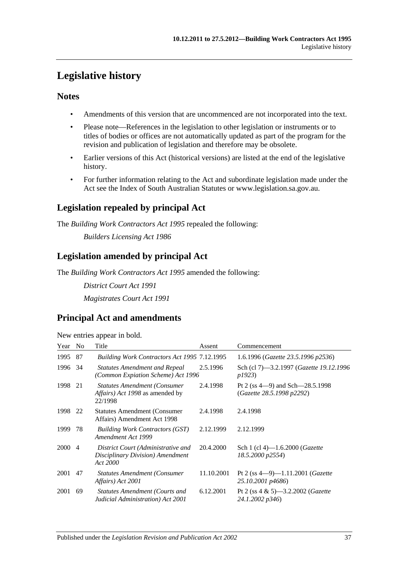## <span id="page-36-0"></span>**Legislative history**

### **Notes**

- Amendments of this version that are uncommenced are not incorporated into the text.
- Please note—References in the legislation to other legislation or instruments or to titles of bodies or offices are not automatically updated as part of the program for the revision and publication of legislation and therefore may be obsolete.
- Earlier versions of this Act (historical versions) are listed at the end of the legislative history.
- For further information relating to the Act and subordinate legislation made under the Act see the Index of South Australian Statutes or www.legislation.sa.gov.au.

## **Legislation repealed by principal Act**

The *Building Work Contractors Act 1995* repealed the following:

*Builders Licensing Act 1986*

## **Legislation amended by principal Act**

The *Building Work Contractors Act 1995* amended the following:

*District Court Act 1991 Magistrates Court Act 1991*

## **Principal Act and amendments**

| New entries appear in bold. |  |  |
|-----------------------------|--|--|

| Year   | N <sub>0</sub> | Title                                                                                            | Assent     | Commencement                                                       |
|--------|----------------|--------------------------------------------------------------------------------------------------|------------|--------------------------------------------------------------------|
| 1995   | 87             | Building Work Contractors Act 1995 7.12.1995                                                     |            | 1.6.1996 (Gazette 23.5.1996 p2536)                                 |
| 1996   | -34            | <b>Statutes Amendment and Repeal</b><br>(Common Expiation Scheme) Act 1996                       | 2.5.1996   | Sch (cl 7)—3.2.1997 ( <i>Gazette 19.12.1996</i><br>p1923)          |
| 1998   | 21             | <b>Statutes Amendment (Consumer</b><br><i>Affairs</i> ) <i>Act 1998</i> as amended by<br>22/1998 | 2.4.1998   | Pt 2 (ss $4-9$ ) and Sch $-28.5.1998$<br>(Gazette 28.5.1998 p2292) |
| 1998   | 22             | <b>Statutes Amendment (Consumer</b> )<br>Affairs) Amendment Act 1998                             | 2.4.1998   | 2.4.1998                                                           |
| 1999   | 78             | <b>Building Work Contractors (GST)</b><br>Amendment Act 1999                                     | 2.12.1999  | 2.12.1999                                                          |
| 2000 4 |                | District Court (Administrative and<br>Disciplinary Division) Amendment<br>Act 2000               | 20.4.2000  | Sch 1 (cl 4)—1.6.2000 ( <i>Gazette</i><br>18.5.2000 p2554)         |
| 2001   | 47             | <b>Statutes Amendment (Consumer)</b><br>Affairs) Act 2001                                        | 11.10.2001 | Pt 2 (ss $4-9$ )-1.11.2001 ( <i>Gazette</i><br>25.10.2001 p4686)   |
| 2001   | 69             | <b>Statutes Amendment (Courts and</b><br>Judicial Administration) Act 2001                       | 6.12.2001  | Pt 2 (ss $4 \& 5$ )—3.2.2002 ( <i>Gazette</i><br>24.1.2002 p346)   |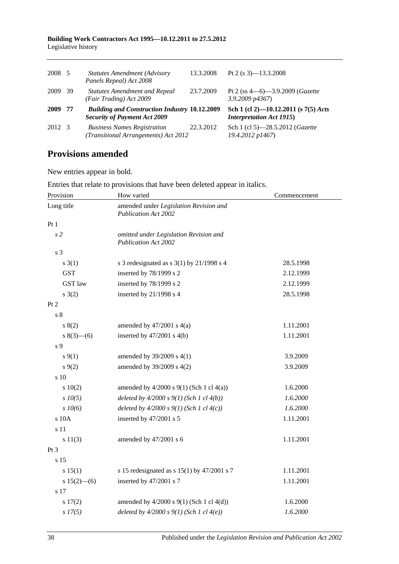| 2008 5 |     | <b>Statutes Amendment (Advisory</b><br>Panels Repeal) Act 2008                              | 13.3.2008 | Pt 2 (s $3$ )-13.3.2008                                                   |
|--------|-----|---------------------------------------------------------------------------------------------|-----------|---------------------------------------------------------------------------|
| 2009   | -39 | <b>Statutes Amendment and Repeal</b><br>(Fair Trading) Act 2009                             | 23.7.2009 | Pt 2 (ss $4-6$ )-3.9.2009 ( <i>Gazette</i><br>$3.9.2009$ $p4367$          |
| 2009   | 77  | <b>Building and Construction Industry 10.12.2009</b><br><b>Security of Payment Act 2009</b> |           | Sch 1 (cl 2)-10.12.2011 (s $7(5)$ Acts<br><b>Interpretation Act 1915)</b> |
| 2012 3 |     | <b>Business Names Registration</b><br>(Transitional Arrangements) Act 2012                  | 22.3.2012 | Sch 1 (cl 5)-28.5.2012 ( <i>Gazette</i><br>19.4.2012 p1467)               |

## **Provisions amended**

New entries appear in bold.

| Provision       | How varied                                                            | Commencement |
|-----------------|-----------------------------------------------------------------------|--------------|
| Long title      | amended under Legislation Revision and<br><b>Publication Act 2002</b> |              |
| Pt1             |                                                                       |              |
| s <sub>2</sub>  | omitted under Legislation Revision and<br><b>Publication Act 2002</b> |              |
| s 3             |                                                                       |              |
| $s \; 3(1)$     | s 3 redesignated as s $3(1)$ by $21/1998$ s 4                         | 28.5.1998    |
| <b>GST</b>      | inserted by 78/1999 s 2                                               | 2.12.1999    |
| <b>GST</b> law  | inserted by 78/1999 s 2                                               | 2.12.1999    |
| $s \; 3(2)$     | inserted by 21/1998 s 4                                               | 28.5.1998    |
| Pt <sub>2</sub> |                                                                       |              |
| s <sub>8</sub>  |                                                                       |              |
| s(2)            | amended by $47/2001$ s $4(a)$                                         | 1.11.2001    |
| $8(3)$ – (6)    | inserted by $47/2001$ s $4(b)$                                        | 1.11.2001    |
| s 9             |                                                                       |              |
| $s \, 9(1)$     | amended by 39/2009 s 4(1)                                             | 3.9.2009     |
| $s \, 9(2)$     | amended by 39/2009 s 4(2)                                             | 3.9.2009     |
| s 10            |                                                                       |              |
| 10(2)           | amended by $4/2000$ s $9(1)$ (Sch 1 cl $4(a)$ )                       | 1.6.2000     |
| $s$ $10(5)$     | deleted by $4/2000 s 9(1)$ (Sch 1 cl $4(b)$ )                         | 1.6.2000     |
| $s$ 10(6)       | deleted by $4/2000 s 9(1)$ (Sch 1 cl $4(c)$ )                         | 1.6.2000     |
| s 10A           | inserted by 47/2001 s 5                                               | 1.11.2001    |
| s 11            |                                                                       |              |
| s 11(3)         | amended by 47/2001 s 6                                                | 1.11.2001    |
| Pt 3            |                                                                       |              |
| s 15            |                                                                       |              |
| s 15(1)         | s 15 redesignated as s $15(1)$ by $47/2001$ s 7                       | 1.11.2001    |
| s $15(2)$ - (6) | inserted by 47/2001 s 7                                               | 1.11.2001    |
| $\sqrt{s}$ 17   |                                                                       |              |
| s 17(2)         | amended by $4/2000$ s $9(1)$ (Sch 1 cl $4(d)$ )                       | 1.6.2000     |
| $s$ 17(5)       | deleted by $4/2000 s 9(1)$ (Sch 1 cl $4(e)$ )                         | 1.6.2000     |

Entries that relate to provisions that have been deleted appear in italics.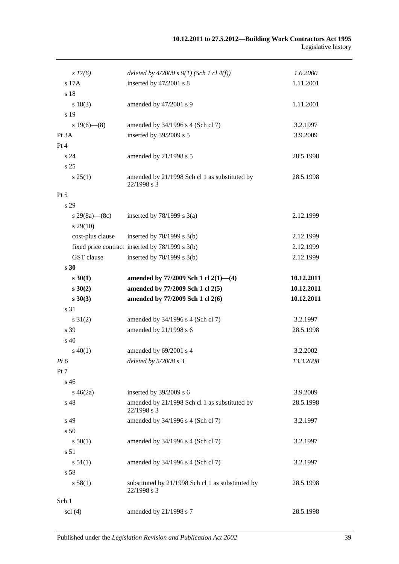| $s\,17(6)$          | deleted by $4/2000 s 9(1)$ (Sch 1 cl $4(f)$ )                    | 1.6.2000   |
|---------------------|------------------------------------------------------------------|------------|
| s 17A               | inserted by 47/2001 s 8                                          | 1.11.2001  |
| s 18                |                                                                  |            |
| s 18(3)             | amended by 47/2001 s 9                                           | 1.11.2001  |
| s 19                |                                                                  |            |
| s $19(6)$ — $(8)$   | amended by 34/1996 s 4 (Sch cl 7)                                | 3.2.1997   |
| Pt 3A               | inserted by 39/2009 s 5                                          | 3.9.2009   |
| Pt 4                |                                                                  |            |
| s <sub>24</sub>     | amended by 21/1998 s 5                                           | 28.5.1998  |
| s 25                |                                                                  |            |
| s 25(1)             | amended by 21/1998 Sch cl 1 as substituted by<br>22/1998 s 3     | 28.5.1998  |
| $Pt\,5$             |                                                                  |            |
| s 29                |                                                                  |            |
| s 29(8a)—(8c)       | inserted by $78/1999$ s $3(a)$                                   | 2.12.1999  |
| $s\,29(10)$         |                                                                  |            |
| cost-plus clause    | inserted by $78/1999$ s $3(b)$                                   | 2.12.1999  |
|                     | fixed price contract inserted by 78/1999 s 3(b)                  | 2.12.1999  |
| GST clause          | inserted by $78/1999$ s $3(b)$                                   | 2.12.1999  |
| s <sub>30</sub>     |                                                                  |            |
| $s \, 30(1)$        | amended by $77/2009$ Sch 1 cl $2(1)$ — $(4)$                     | 10.12.2011 |
| $s \ 30(2)$         | amended by 77/2009 Sch 1 cl 2(5)                                 | 10.12.2011 |
| $s \ 30(3)$         | amended by 77/2009 Sch 1 cl 2(6)                                 | 10.12.2011 |
| s 31                |                                                                  |            |
| $s \, 31(2)$        | amended by 34/1996 s 4 (Sch cl 7)                                | 3.2.1997   |
| s 39                | amended by 21/1998 s 6                                           | 28.5.1998  |
| s 40                |                                                                  |            |
| $s\ 40(1)$          | amended by 69/2001 s 4                                           | 3.2.2002   |
| $Pt\,6$             | deleted by $5/2008 s 3$                                          | 13.3.2008  |
| Pt 7                |                                                                  |            |
| s <sub>46</sub>     |                                                                  |            |
| $s\,46(2a)$         | inserted by 39/2009 s 6                                          | 3.9.2009   |
| s 48                | amended by 21/1998 Sch cl 1 as substituted by<br>22/1998 s 3     | 28.5.1998  |
| s 49                | amended by 34/1996 s 4 (Sch cl 7)                                | 3.2.1997   |
| s <sub>50</sub>     |                                                                  |            |
| s 50(1)             | amended by 34/1996 s 4 (Sch cl 7)                                | 3.2.1997   |
| s 51                |                                                                  |            |
| s 51(1)             | amended by 34/1996 s 4 (Sch cl 7)                                | 3.2.1997   |
| s 58                |                                                                  |            |
| s 58(1)             | substituted by 21/1998 Sch cl 1 as substituted by<br>22/1998 s 3 | 28.5.1998  |
| Sch 1               |                                                                  |            |
| $\text{sc}$ 1 $(4)$ | amended by 21/1998 s 7                                           | 28.5.1998  |